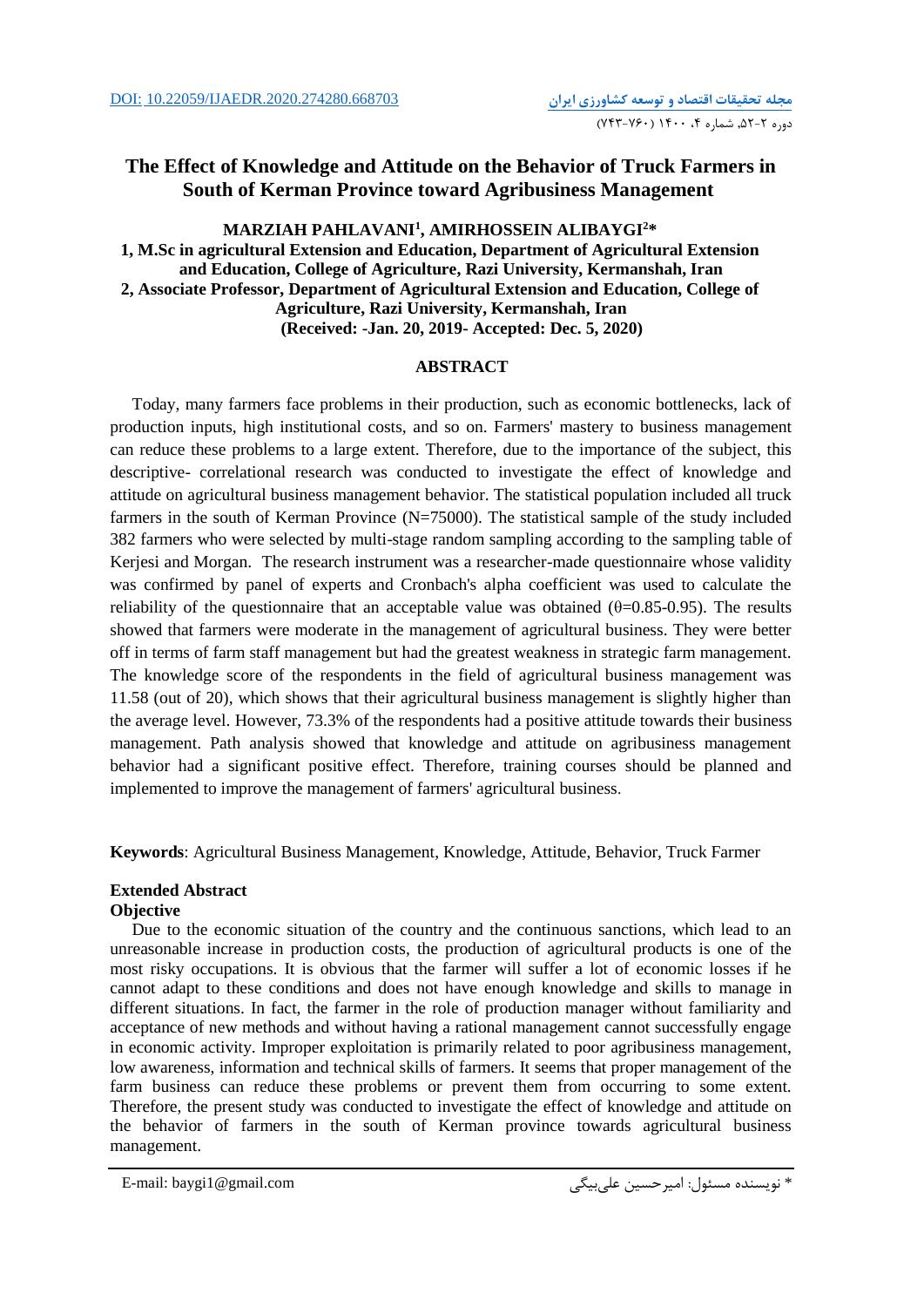# **The Effect of Knowledge and Attitude on the Behavior of Truck Farmers in South of Kerman Province toward Agribusiness Management**

## $\mathbf{MARZIAH}$  <code>PAHLAVANI</code><sup>1</sup>, <code>AMIRHOSSEIN</code> <code>ALIBAYGI</code>  $^{2*}$ **1, M.Sc in agricultural Extension and Education, Department of Agricultural Extension and Education, College of Agriculture, Razi University, Kermanshah, Iran 2, Associate Professor, Department of Agricultural Extension and Education, College of Agriculture, Razi University, Kermanshah, Iran (Received: -Jan. 20, 2019- Accepted: Dec. 5, 2020)**

## **ABSTRACT**

Today, many farmers face problems in their production, such as economic bottlenecks, lack of production inputs, high institutional costs, and so on. Farmers' mastery to business management can reduce these problems to a large extent. Therefore, due to the importance of the subject, this descriptive- correlational research was conducted to investigate the effect of knowledge and attitude on agricultural business management behavior. The statistical population included all truck farmers in the south of Kerman Province (N=75000). The statistical sample of the study included 382 farmers who were selected by multi-stage random sampling according to the sampling table of Kerjesi and Morgan. The research instrument was a researcher-made questionnaire whose validity was confirmed by panel of experts and Cronbach's alpha coefficient was used to calculate the reliability of the questionnaire that an acceptable value was obtained  $(\theta=0.85-0.95)$ . The results showed that farmers were moderate in the management of agricultural business. They were better off in terms of farm staff management but had the greatest weakness in strategic farm management. The knowledge score of the respondents in the field of agricultural business management was 11.58 (out of 20), which shows that their agricultural business management is slightly higher than the average level. However, 73.3% of the respondents had a positive attitude towards their business management. Path analysis showed that knowledge and attitude on agribusiness management behavior had a significant positive effect. Therefore, training courses should be planned and implemented to improve the management of farmers' agricultural business.

**Keywords**: Agricultural Business Management, Knowledge, Attitude, Behavior, Truck Farmer

### **Extended Abstract Objective**

Due to the economic situation of the country and the continuous sanctions, which lead to an unreasonable increase in production costs, the production of agricultural products is one of the most risky occupations. It is obvious that the farmer will suffer a lot of economic losses if he cannot adapt to these conditions and does not have enough knowledge and skills to manage in different situations. In fact, the farmer in the role of production manager without familiarity and acceptance of new methods and without having a rational management cannot successfully engage in economic activity. Improper exploitation is primarily related to poor agribusiness management, low awareness, information and technical skills of farmers. It seems that proper management of the farm business can reduce these problems or prevent them from occurring to some extent. Therefore, the present study was conducted to investigate the effect of knowledge and attitude on the behavior of farmers in the south of Kerman province towards agricultural business management.

```
E-mail: baygi1@gmail.com علیبیگی امیرحسین :مسئول نويسنده*
```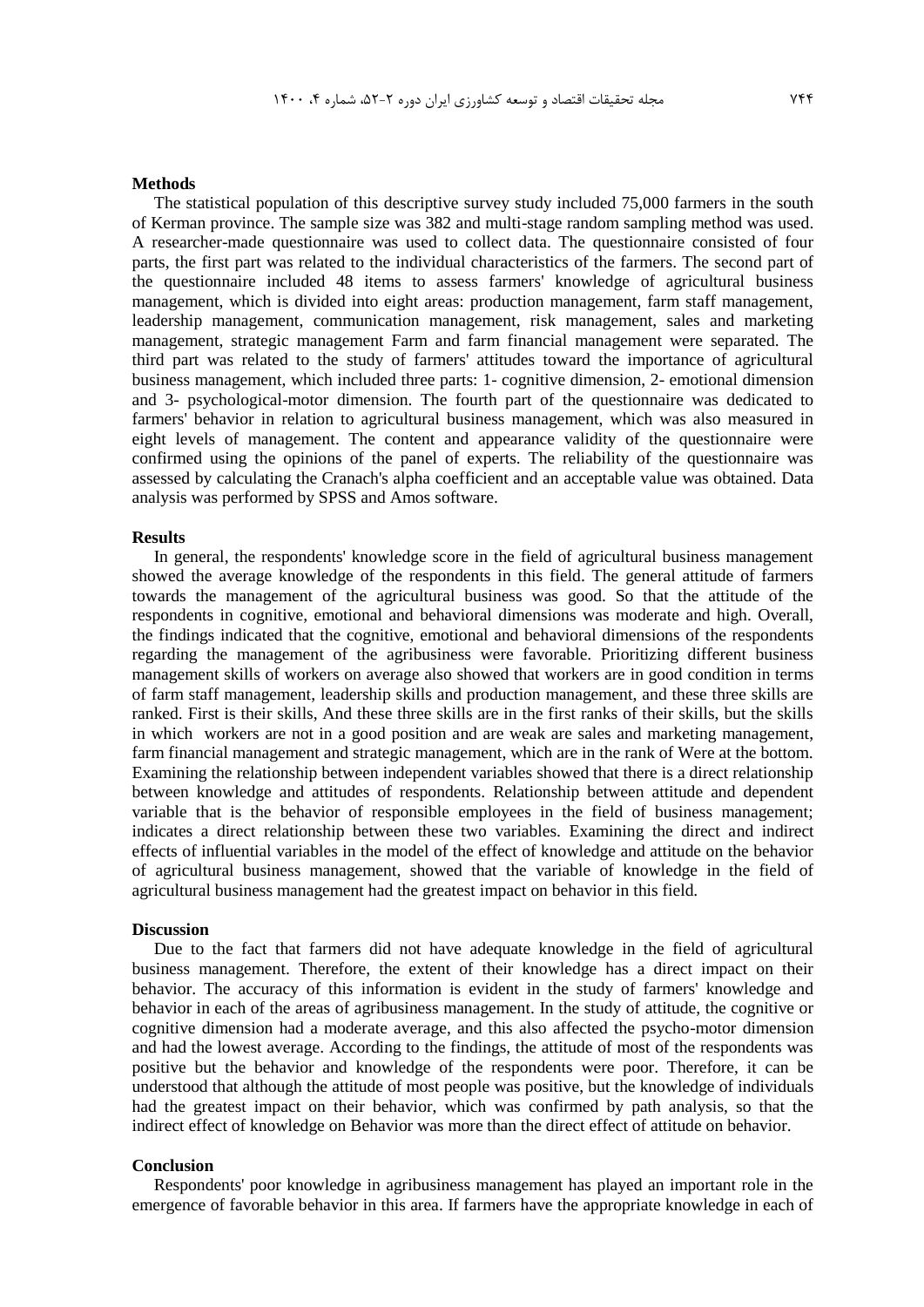#### **Methods**

The statistical population of this descriptive survey study included 75,000 farmers in the south of Kerman province. The sample size was 382 and multi-stage random sampling method was used. A researcher-made questionnaire was used to collect data. The questionnaire consisted of four parts, the first part was related to the individual characteristics of the farmers. The second part of the questionnaire included 48 items to assess farmers' knowledge of agricultural business management, which is divided into eight areas: production management, farm staff management, leadership management, communication management, risk management, sales and marketing management, strategic management Farm and farm financial management were separated. The third part was related to the study of farmers' attitudes toward the importance of agricultural business management, which included three parts: 1- cognitive dimension, 2- emotional dimension and 3- psychological-motor dimension. The fourth part of the questionnaire was dedicated to farmers' behavior in relation to agricultural business management, which was also measured in eight levels of management. The content and appearance validity of the questionnaire were confirmed using the opinions of the panel of experts. The reliability of the questionnaire was assessed by calculating the Cranach's alpha coefficient and an acceptable value was obtained. Data analysis was performed by SPSS and Amos software.

#### **Results**

In general, the respondents' knowledge score in the field of agricultural business management showed the average knowledge of the respondents in this field. The general attitude of farmers towards the management of the agricultural business was good. So that the attitude of the respondents in cognitive, emotional and behavioral dimensions was moderate and high. Overall, the findings indicated that the cognitive, emotional and behavioral dimensions of the respondents regarding the management of the agribusiness were favorable. Prioritizing different business management skills of workers on average also showed that workers are in good condition in terms of farm staff management, leadership skills and production management, and these three skills are ranked. First is their skills, And these three skills are in the first ranks of their skills, but the skills in which workers are not in a good position and are weak are sales and marketing management, farm financial management and strategic management, which are in the rank of Were at the bottom. Examining the relationship between independent variables showed that there is a direct relationship between knowledge and attitudes of respondents. Relationship between attitude and dependent variable that is the behavior of responsible employees in the field of business management; indicates a direct relationship between these two variables. Examining the direct and indirect effects of influential variables in the model of the effect of knowledge and attitude on the behavior of agricultural business management, showed that the variable of knowledge in the field of agricultural business management had the greatest impact on behavior in this field.

#### **Discussion**

Due to the fact that farmers did not have adequate knowledge in the field of agricultural business management. Therefore, the extent of their knowledge has a direct impact on their behavior. The accuracy of this information is evident in the study of farmers' knowledge and behavior in each of the areas of agribusiness management. In the study of attitude, the cognitive or cognitive dimension had a moderate average, and this also affected the psycho-motor dimension and had the lowest average. According to the findings, the attitude of most of the respondents was positive but the behavior and knowledge of the respondents were poor. Therefore, it can be understood that although the attitude of most people was positive, but the knowledge of individuals had the greatest impact on their behavior, which was confirmed by path analysis, so that the indirect effect of knowledge on Behavior was more than the direct effect of attitude on behavior.

#### **Conclusion**

Respondents' poor knowledge in agribusiness management has played an important role in the emergence of favorable behavior in this area. If farmers have the appropriate knowledge in each of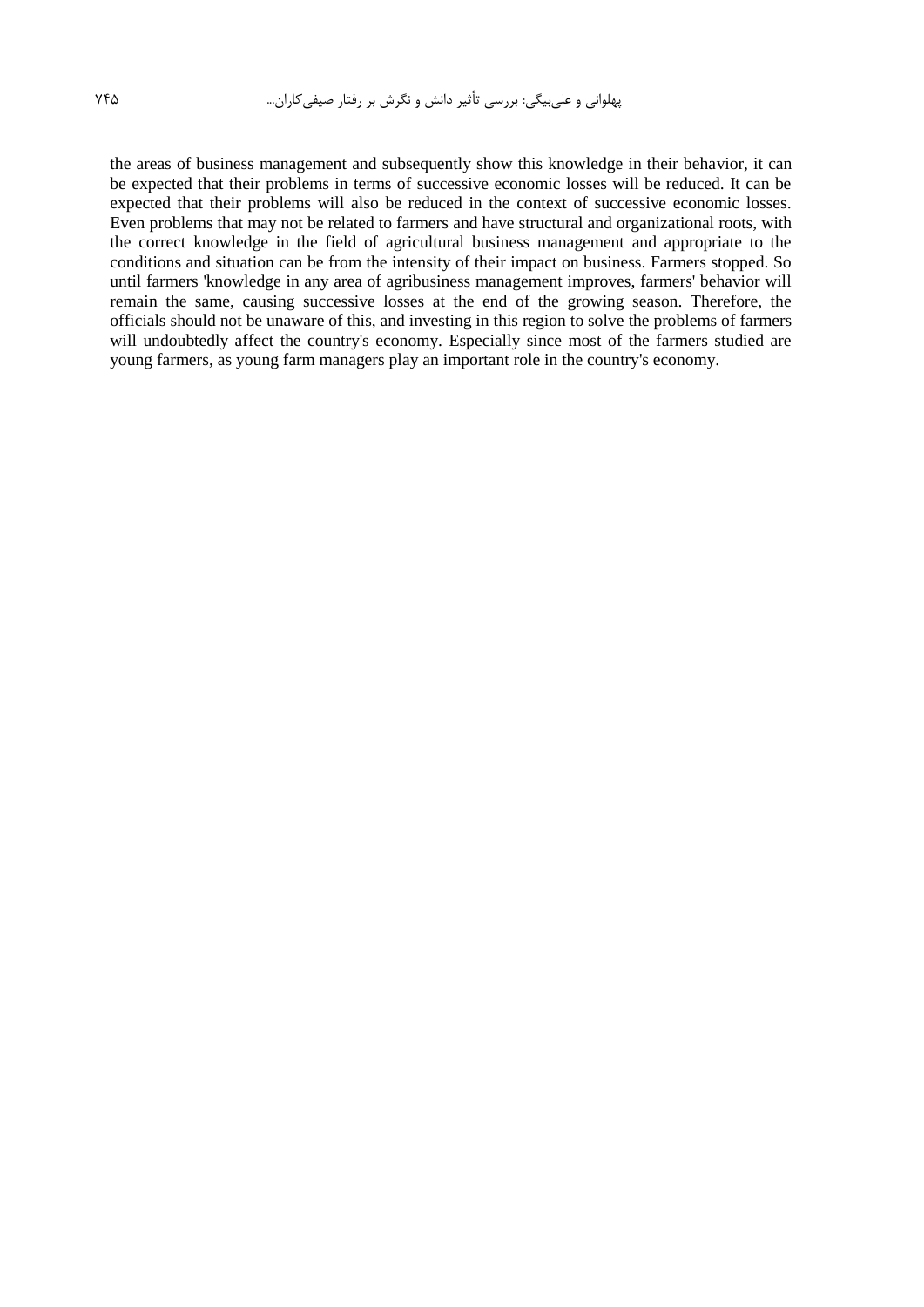the areas of business management and subsequently show this knowledge in their behavior, it can be expected that their problems in terms of successive economic losses will be reduced. It can be expected that their problems will also be reduced in the context of successive economic losses. Even problems that may not be related to farmers and have structural and organizational roots, with the correct knowledge in the field of agricultural business management and appropriate to the conditions and situation can be from the intensity of their impact on business. Farmers stopped. So until farmers 'knowledge in any area of agribusiness management improves, farmers' behavior will remain the same, causing successive losses at the end of the growing season. Therefore, the officials should not be unaware of this, and investing in this region to solve the problems of farmers will undoubtedly affect the country's economy. Especially since most of the farmers studied are young farmers, as young farm managers play an important role in the country's economy.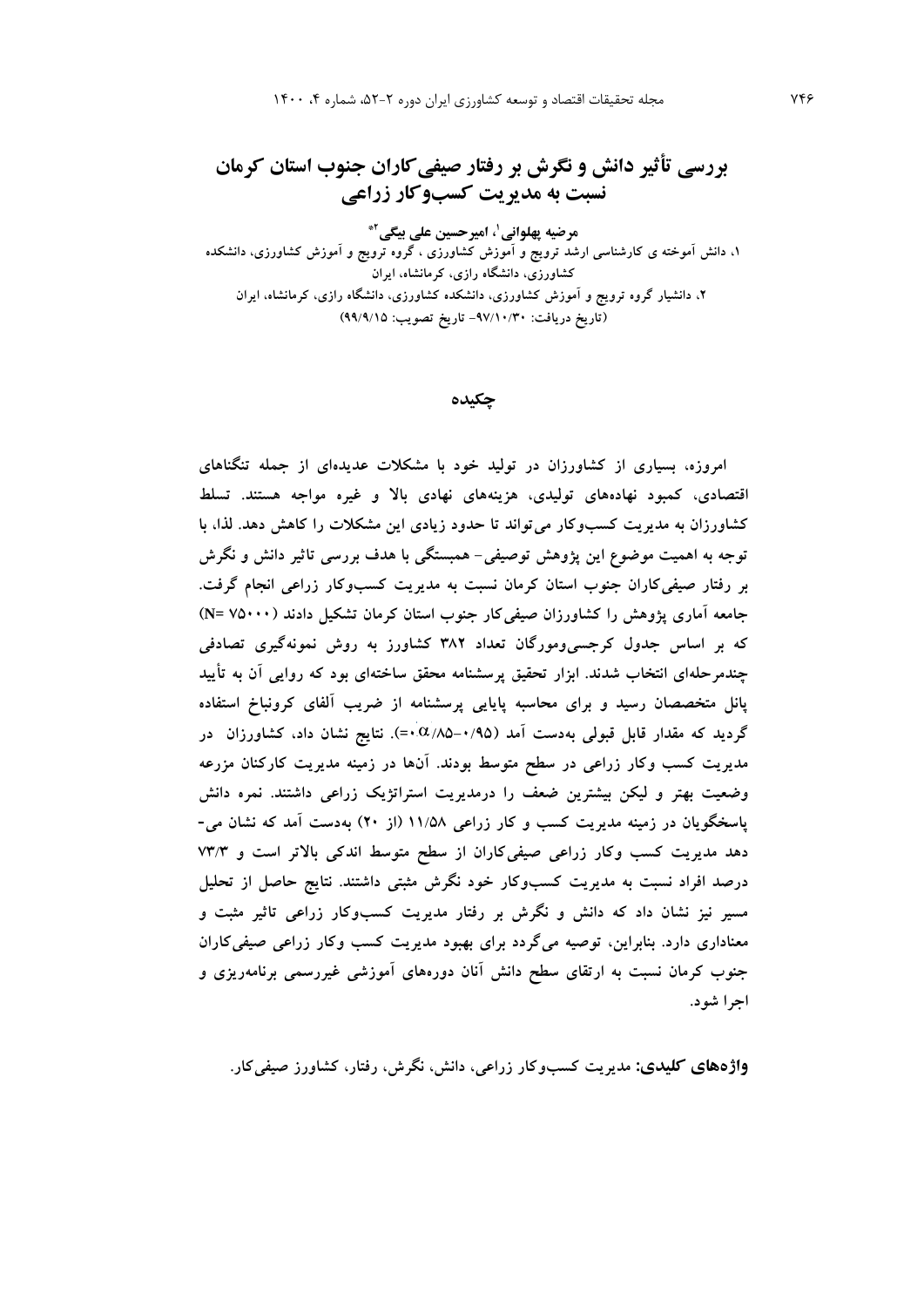**بررسی تأثیر دانش و نگرش بر رفتار صیفیکاران جنوب استان کرمان نسبت به مدیریت کسبوکار زراعی**

**، امیرحسین علی بیگی <sup>1</sup> مرضیه پهلوانی \*2 ،1 دانش آموخته ی کارشناسی ارشد ترویج و آموزش کشاورزی ، گروه ترویج و آموزش کشاورزی، دانشکده کشاورزی، دانشگاه رازی، کرمانشاه، ایران ،2 دانشیار گروه ترویج و آموزش کشاورزی، دانشکده کشاورزی، دانشگاه رازی، کرمانشاه، ایران )تاریخ دریافت: -97/10/30 تاریخ تصویب: 99/9/15(**

**چکیده**

**امروزه، بسیاری از کشاورزان در تولید خود با مشکالت عدیدهای از جمله تنگناهای اقتصادی، کمبود نهادههای تولیدی، هزینههای نهادی باال و غیره مواجه هستند. تسلط کشاورزان به مدیریت کسبوکار میتواند تا حدود زیادی این مشکالت را کاهش دهد. لذا، با توجه به اهمیت موضوع این پژوهش توصیفی- همبستگی با هدف بررسی تاثیر دانش و نگرش بر رفتار صیفیکاران جنوب استان کرمان نسبت به مدیریت کسبوکار زراعی انجام گرفت. جامعه آماری پژوهش را کشاورزان صیفیکار جنوب استان کرمان تشکیل دادند )75000 =N ) که بر اساس جدول کرجسیومورگان تعداد 382 کشاورز به روش نمونهگیری تصادفی چندمرحلهای انتخاب شدند. ابزار تحقیق پرسشنامه محقق ساختهای بود که روایی آن به تأیید پانل متخصصان رسید و برای محاسبه پایایی پرسشنامه از ضریب آلفای کرونباخ استفاده گردید که مقدار قابل قبولی بهدست آمد )/85-0/95 0=(. نتایج نشان داد، کشاورزان در مدیریت کسب وکار زراعی در سطح متوسط بودند. آنها در زمینه مدیریت کارکنان مزرعه وضعیت بهتر و لیکن بیشترین ضعف را درمدیریت استراتژیک زراعی داشتند. نمره دانش پاسخگویان در زمینه مدیریت کسب و کار زراعی 11/58 )از 20( بهدست آمد که نشان می- دهد مدیریت کسب وکار زراعی صیفیکاران از سطح متوسط اندکی باالتر است و 73/3 درصد افراد نسبت به مدیریت کسبوکار خود نگرش مثبتی داشتند. نتایج حاصل از تحلیل مسیر نیز نشان داد که دانش و نگرش بر رفتار مدیریت کسبوکار زراعی تاثیر مثبت و معناداری دارد. بنابراین، توصیه میگردد برای بهبود مدیریت کسب وکار زراعی صیفیکاران جنوب کرمان نسبت به ارتقای سطح دانش آنان دورههای آموزشی غیررسمی برنامهریزی و اجرا شود.**

**واژههای کلیدی: مدیریت کسبوکار زراعی، دانش، نگرش، رفتار، کشاورز صیفیکار.**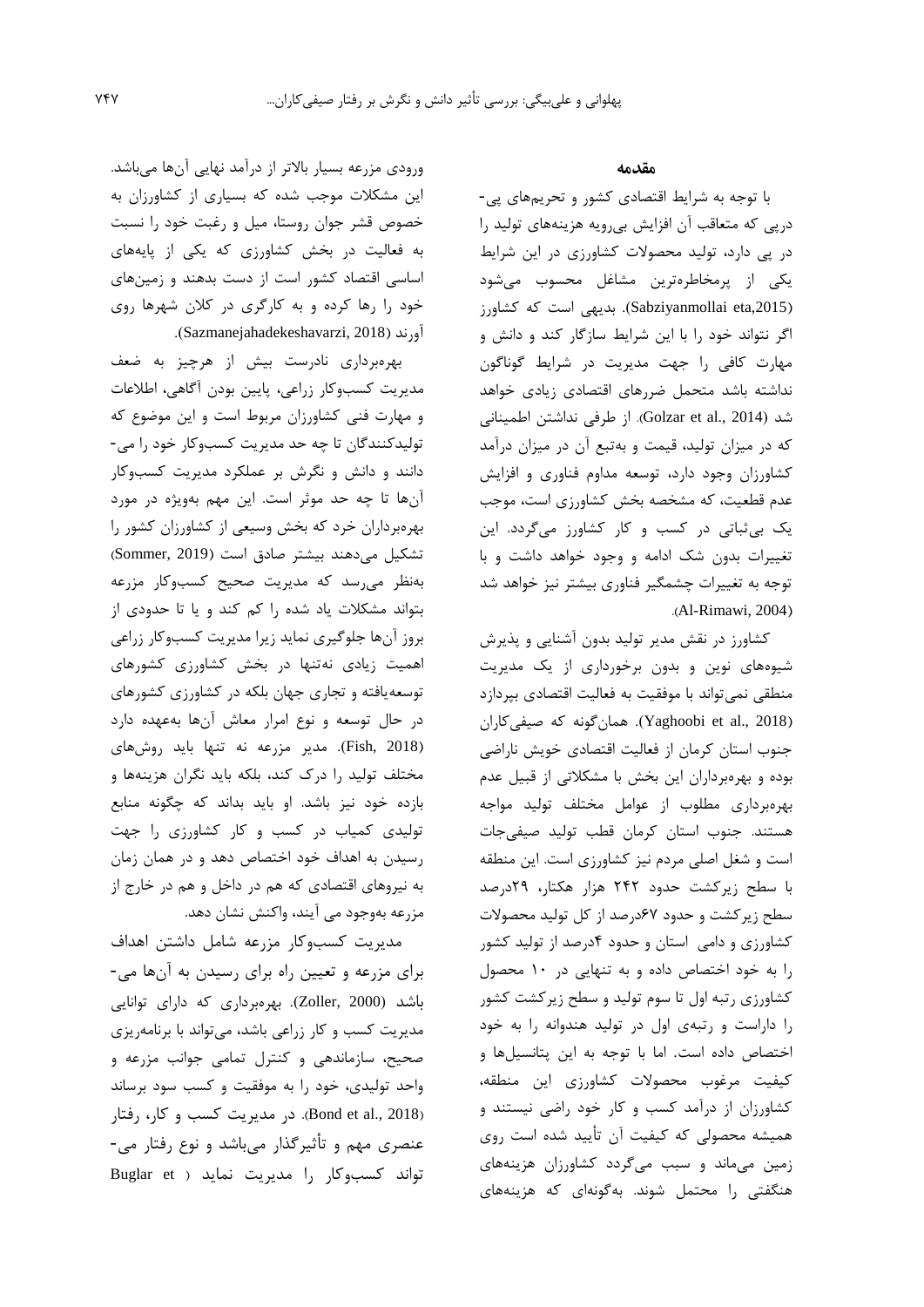ورودي مزرعه بسیار باالتر از درآمد نهايی آنها میباشد. اين مشکالت موجب شده که بسیاري از کشاورزان به خصوص قشر جوان روستا، میل و رغبت خود را نسبت به فعالیت در بخش کشاورزي که يکی از پايههاي اساسی اقتصاد کشور است از دست بدهند و زمینهاي خود را رها کرده و به کارگري در کالن شهرها روي آورند )2018 ,Sazmanejahadekeshavarzi).

بهرهبرداري نادرست بیش از هرچیز به ضعف مديريت کسبوکار زراعی، پايین بودن آگاهی، اطالعات و مهارت فنی کشاورزان مربوط است و اين موضوع که تولیدکنندگان تا چه حد مديريت کسبوکار خود را می- دانند و دانش و نگرش بر عملکرد مديريت کسبوکار آنها تا چه حد موثر است. اين مهم بهويژه در مورد بهرهبرداران خرد که بخش وسیعی از کشاورزان کشور را تشکیل میدهند بیشتر صادق است (Sommer, 2019) بهنظر میرسد که مديريت صحیح کسبوکار مزرعه بتواند مشکالت ياد شده را کم کند و يا تا حدودي از بروز آنها جلوگیري نمايد زيرا مديريت کسبوکار زراعی اهمیت زيادي نهتنها در بخش کشاورزي کشورهاي توسعهيافته و تجاري جهان بلکه در کشاورزي کشورهاي در حال توسعه و نوع امرار معاش آنها بهعهده دارد )2018 ,Fish). مدير مزرعه نه تنها بايد روشهاي مختلف تولید را درک کند، بلکه بايد نگران هزينهها و بازده خود نیز باشد. او بايد بداند که چگونه منابع تولیدي کمیاب در کسب و کار کشاورزي را جهت رسیدن به اهداف خود اختصاص دهد و در همان زمان به نیروهاي اقتصادي که هم در داخل و هم در خارج از مزرعه بهوجود می آيند، واکنش نشان دهد.

مديريت کسبوکار مزرعه شامل داشتن اهداف براي مزرعه و تعیین راه براي رسیدن به آنها می- باشد )2000 ,Zoller). بهرهبرداري که داراي توانايی مديريت کسب و کار زراعی باشد، میتواند با برنامهريزي صحیح، سازماندهی و کنترل تمامی جوانب مزرعه و واحد تولیدي، خود را به موفقیت و کسب سود برساند )2018 .,al et Bond). در مديريت کسب و کار، رفتار عنصري مهم و تأثیرگذار میباشد و نوع رفتار می- تواند کسبوکار را مديريت نمايد ( Buglar et

#### **مقدمه**

با توجه به شرايط اقتصادي کشور و تحريمهاي پی- درپی که متعاقب آن افزايش بیرويه هزينههاي تولید را در پی دارد، تولید محصوالت کشاورزي در اين شرايط يکی از پرمخاطرهترين مشاغل محسوب میشود ),2015eta Sabziyanmollai). بديهی است که کشاورز اگر نتواند خود را با اين شرايط سازگار کند و دانش و مهارت کافی را جهت مديريت در شرايط گوناگون نداشته باشد متحمل ضررهاي اقتصادي زيادي خواهد شد )2014 .,al et Golzar). از طرفی نداشتن اطمینانی که در میزان تولید، قیمت و بهتبع آن در میزان درآمد کشاورزان وجود دارد، توسعه مداوم فناوري و افزايش عدم قطعیت، که مشخصه بخش کشاورزي است، موجب يک بیثباتی در کسب و کار کشاورز میگردد. اين تغییرات بدون شک ادامه و وجود خواهد داشت و با توجه به تغییرات چشمگیر فناوري بیشتر نیز خواهد شد .(Al-Rimawi, 2004)

کشاورز در نقش مدير تولید بدون آشنايی و پذيرش شیوههاي نوين و بدون برخورداري از يک مديريت منطقی نمیتواند با موفقیت به فعالیت اقتصادي بپردازد )2018 .,al et Yaghoobi). همانگونه که صیفیکاران جنوب استان کرمان از فعالیت اقتصادي خويش ناراضی بوده و بهرهبرداران اين بخش با مشکالتی از قبیل عدم بهرهبرداري مطلوب از عوامل مختلف تولید مواجه هستند. جنوب استان کرمان قطب تولید صیفیجات است و شغل اصلی مردم نیز کشاورزي است. اين منطقه با سطح زيرکشت حدود 242 هزار هکتار، 29درصد سطح زيرکشت و حدود 67درصد از کل تولید محصوالت کشاورزي و دامی استان و حدود 4درصد از تولید کشور را به خود اختصاص داده و به تنهايی در 10 محصول کشاورزي رتبه اول تا سوم تولید و سطح زيرکشت کشور را داراست و رتبهي اول در تولید هندوانه را به خود اختصاص داده است. اما با توجه به اين پتانسیلها و کیفیت مرغوب محصوالت کشاورزي اين منطقه، کشاورزان از درآمد کسب و کار خود راضی نیستند و همیشه محصولی که کیفیت آن تأيید شده است روي زمین میماند و سبب میگردد کشاورزان هزينههاي هنگفتی را محتمل شوند. بهگونهاي که هزينههاي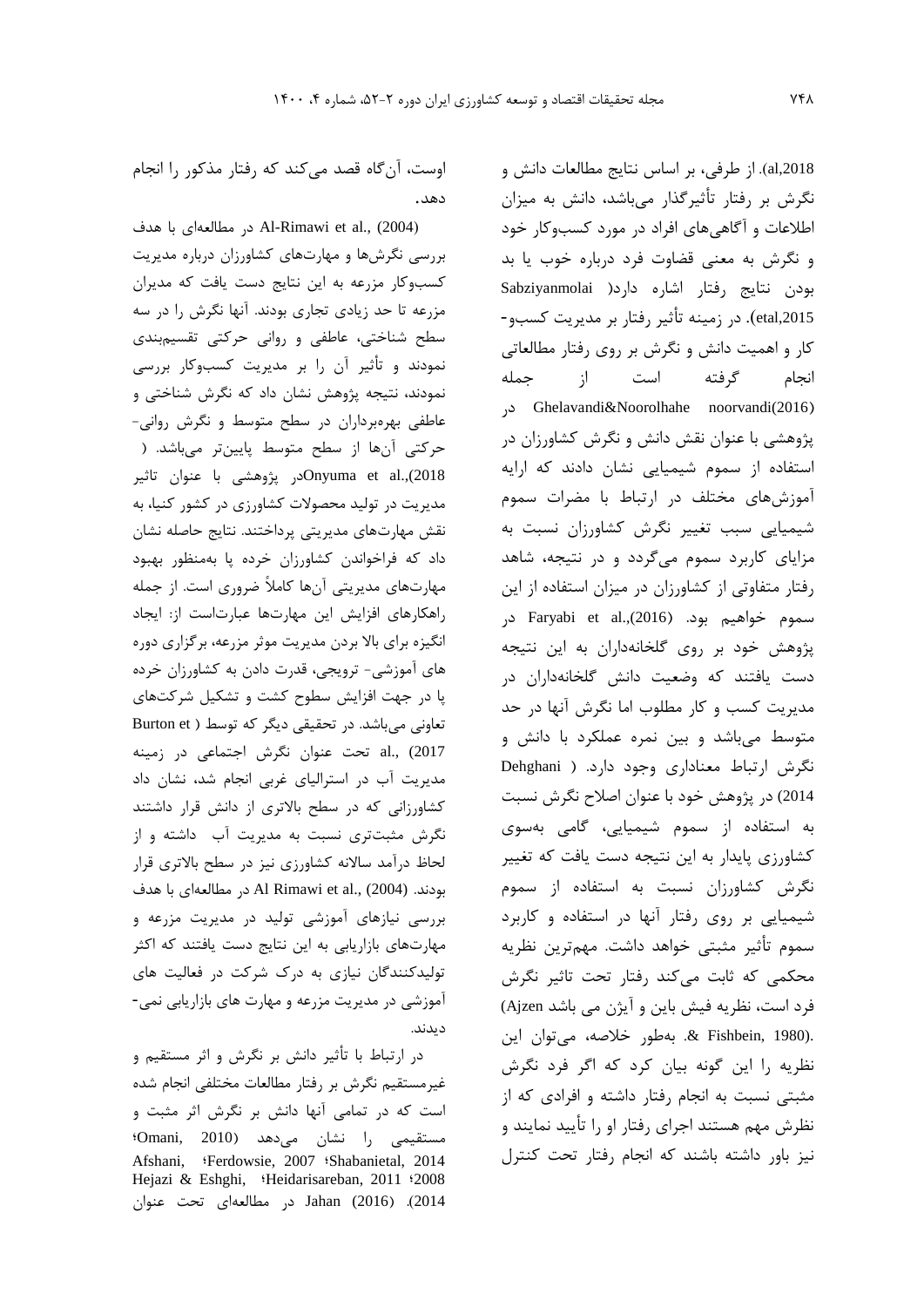al,2018). از طرفي، بر اساس نتايج مطالعات دانش و نگرش بر رفتار تأثیرگذار میباشد، دانش به میزان اطالعات و آگاهیهاي افراد در مورد کسبوکار خود و نگرش به معنی قضاوت فرد درباره خوب يا بد بودن نتايج رفتار اشاره دارد) Sabziyanmolai etal,2015). در زمينه تأثير رفتار بر مديريت كسبو-کار و اهمیت دانش و نگرش بر روي رفتار مطالعاتی انجام گرفته است از جمله در Ghelavandi&Noorolhahe noorvandi(2016( پژوهشی با عنوان نقش دانش و نگرش کشاورزان در استفاده از سموم شیمیايی نشان دادند که ارايه آموزشهاي مختلف در ارتباط با مضرات سموم شیمیايی سبب تغییر نگرش کشاورزان نسبت به مزاياي کاربرد سموم میگردد و در نتیجه، شاهد رفتار متفاوتی از کشاورزان در میزان استفاده از اين سموم خواهیم بود. )2016).,al et Faryabi در پژوهش خود بر روي گلخانهداران به اين نتیجه دست يافتند که وضعیت دانش گلخانهداران در مديريت کسب و کار مطلوب اما نگرش آنها در حد متوسط میباشد و بین نمره عملکرد با دانش و نگرش ارتباط معناداري وجود دارد. ) Dehghani 2014) در پژوهش خود با عنوان اصالح نگرش نسبت به استفاده از سموم شیمیايی، گامی بهسوي کشاورزي پايدار به اين نتیجه دست يافت که تغییر نگرش کشاورزان نسبت به استفاده از سموم شیمیايی بر روي رفتار آنها در استفاده و کاربرد سموم تأثیر مثبتی خواهد داشت. مهمترين نظريه محکمی که ثابت میکند رفتار تحت تاثیر نگرش فرد است، نظريه فیش باين و آيژن می باشد Ajzen( .(1980 ,Fishbein& . بهطور خالصه، میتوان اين نظريه را اين گونه بیان کرد که اگر فرد نگرش مثبتی نسبت به انجام رفتار داشته و افرادي که از نظرش مهم هستند اجراي رفتار او را تأيید نمايند و نیز باور داشته باشند که انجام رفتار تحت کنترل

اوست، آنگاه قصد میکند که رفتار مذکور را انجام دهد.

)2004) .,al et Rimawi-Al در مطالعهاي با هدف بررسی نگرشها و مهارتهاي کشاورزان درباره مديريت کسبوکار مزرعه به اين نتايج دست يافت که مديران مزرعه تا حد زيادي تجاري بودند. آنها نگرش را در سه سطح شناختی، عاطفی و روانی حرکتی تقسیمبندي نمودند و تأثیر آن را بر مديريت کسبوکار بررسی نمودند، نتیجه پژوهش نشان داد که نگرش شناختی و عاطفی بهرهبرداران در سطح متوسط و نگرش روانی- حرکتی آنها از سطح متوسط پايینتر میباشد. ) 2018).,al et Onyumaدر پژوهشی با عنوان تاثیر مديريت در تولید محصوالت کشاورزي در کشور کنیا، به نقش مهارتهاي مديريتی پرداختند. نتايج حاصله نشان داد که فراخواندن کشاورزان خرده پا بهمنظور بهبود مهارتهاي مديريتی آنها کامالً ضروري است. از جمله راهکارهاي افزايش اين مهارتها عبارتاست از: ايجاد انگیزه براي باال بردن مديريت موثر مزرعه، برگزاري دوره هاي آموزشی- ترويجی، قدرت دادن به کشاورزان خرده پا در جهت افزايش سطوح کشت و تشکیل شرکتهاي تعاونی میباشد. در تحقیقی دیگر که توسط ( Burton et 2017) .,al تحت عنوان نگرش اجتماعی در زمینه مديريت آب در استرالیاي غربی انجام شد، نشان داد کشاورزانی که در سطح باالتري از دانش قرار داشتند نگرش مثبتتري نسبت به مديريت آب داشته و از لحاظ درآمد ساالنه کشاورزي نیز در سطح باالتري قرار بودند. (2004) .,al et Rimawi Al در مطالعهاي با هدف بررسی نیازهاي آموزشی تولید در مديريت مزرعه و مهارتهاي بازاريابی به اين نتايج دست يافتند که اکثر تولیدکنندگان نیازي به درک شرکت در فعالیت هاي آموزشی در مديريت مزرعه و مهارت هاي بازاريابی نمی- ديدند.

در ارتباط با تأثیر دانش بر نگرش و اثر مستقیم و غیرمستقیم نگرش بر رفتار مطالعات مختلفی انجام شده است که در تمامی آنها دانش بر نگرش اثر مثبت و مستقیمی را نشان میدهد )2010 ,Omani؛ Afshani, ؛Ferdowsie, 2007 ؛Shabanietal, 2014 Hejazi & Eshghi, ؛Heidarisareban, 2011 ؛2008 2014(. )2016) Jahan در مطالعهاي تحت عنوان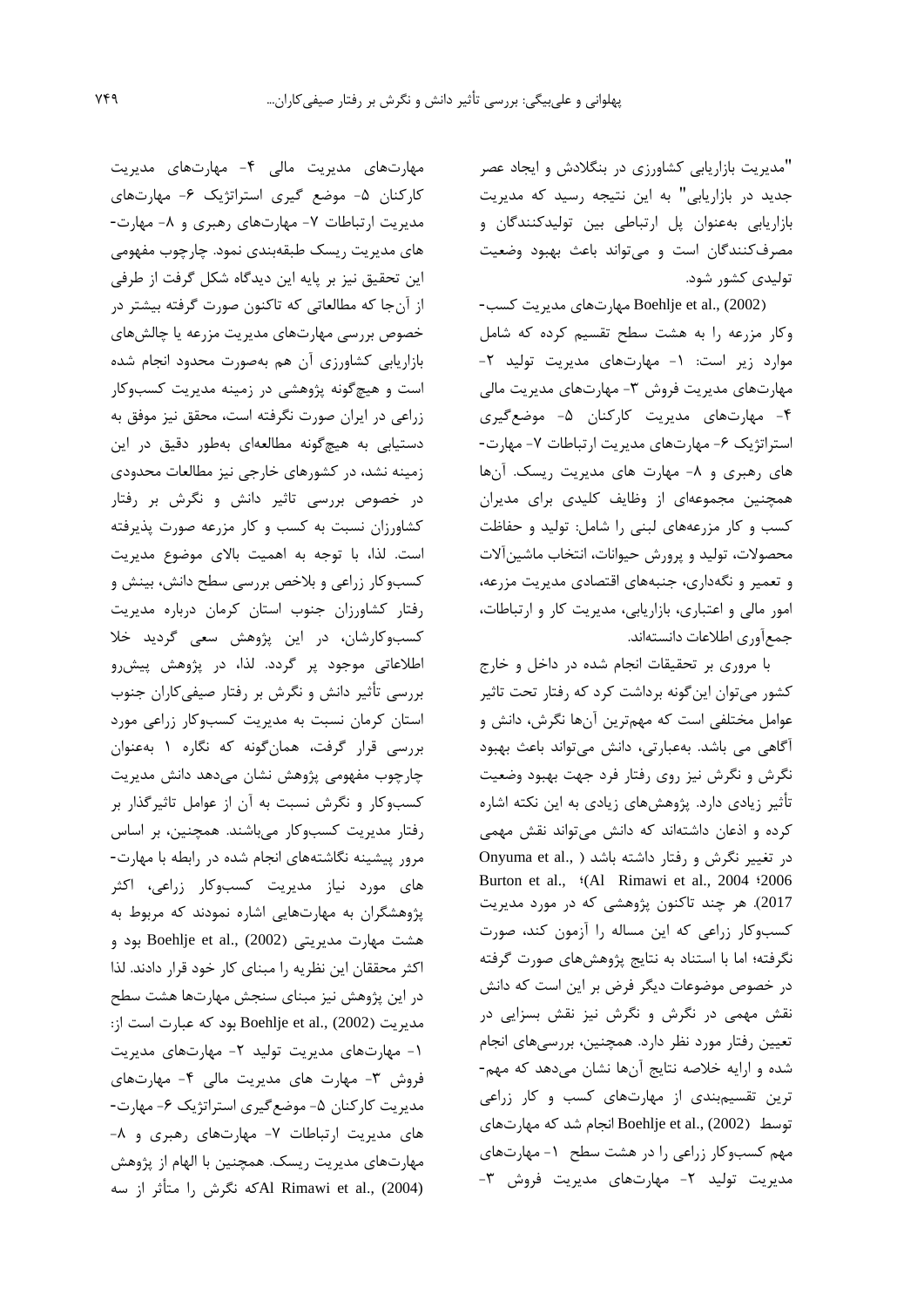"مديريت بازاريابی کشاورزي در بنگالدش و ايجاد عصر جديد در بازاريابی" به اين نتیجه رسید که مديريت بازاريابی بهعنوان پل ارتباطی بین تولیدکنندگان و مصرفکنندگان است و میتواند باعث بهبود وضعیت تولیدي کشور شود.

)2002) .,al et Boehlje مهارتهاي مديريت کسب- وکار مزرعه را به هشت سطح تقسیم کرده که شامل موارد زير است: ١- مهارتهاي مديريت توليد ٢-مهارتهاي مديريت فروش -3 مهارتهاي مديريت مالی -4 مهارتهاي مديريت کارکنان -5 موضعگیري استراتژيک ۶- مهارتهاي مديريت ارتباطات ۷- مهارت-هاي رهبري و ٨- مهارت هاي مديريت ريسک. آنها همچنین مجموعهاي از وظايف کلیدي براي مديران کسب و کار مزرعههاي لبنی را شامل: تولید و حفاظت محصوالت، تولید و پرورش حیوانات، انتخاب ماشینآالت و تعمیر و نگهداري، جنبههاي اقتصادي مديريت مزرعه، امور مالی و اعتباري، بازاريابی، مديريت کار و ارتباطات، جمعآوري اطالعات دانستهاند.

با مروري بر تحقیقات انجام شده در داخل و خارج کشور میتوان اينگونه برداشت کرد که رفتار تحت تاثیر عوامل مختلفی است که مهمترين آنها نگرش، دانش و آگاهی می باشد. بهعبارتی، دانش میتواند باعث بهبود نگرش و نگرش نیز روي رفتار فرد جهت بهبود وضعیت تأثیر زيادي دارد. پژوهشهاي زيادي به اين نکته اشاره کرده و اذعان داشتهاند که دانش میتواند نقش مهمی در تغییر نگرش و رفتار داشته باشد ( ..Onyuma et al Burton et al., <sup>\$</sup>(Al Rimawi et al., 2004 <sup>\$2006</sup> 2017(. هر چند تاکنون پژوهشی که در مورد مديريت کسبوکار زراعی که اين مساله را آزمون کند، صورت نگرفته؛ اما با استناد به نتايج پژوهشهاي صورت گرفته در خصوص موضوعات ديگر فرض بر اين است که دانش نقش مهمی در نگرش و نگرش نیز نقش بسزايی در تعیین رفتار مورد نظر دارد. همچنین، بررسیهاي انجام شده و ارايه خالصه نتايج آنها نشان میدهد که مهم- ترين تقسیمبندي از مهارتهاي کسب و کار زراعی توسط )2002) .,al et Boehlje انجام شد که مهارتهاي مهم کسبوکار زراعی را در هشت سطح -1 مهارتهاي مديريت تولید -2 مهارتهاي مديريت فروش -3

مهارتهاي مديريت مالی -4 مهارتهاي مديريت کارکنان ۵- موضع گیری استراتژیک ۶- مهارتهای مديريت ارتباطات ٧- مهارتهاي رهبري و ٨- مهارت-هاي مديريت ريسک طبقهبندي نمود. چارچوب مفهومی اين تحقیق نیز بر پايه اين ديدگاه شکل گرفت از طرفی از آنجا که مطالعاتی که تاکنون صورت گرفته بیشتر در خصوص بررسی مهارتهاي مديريت مزرعه يا چالشهاي بازاريابی کشاورزي آن هم بهصورت محدود انجام شده است و هیچگونه پژوهشی در زمینه مديريت کسبوکار زراعی در ايران صورت نگرفته است، محقق نیز موفق به دستیابی به هیچگونه مطالعهاي بهطور دقیق در اين زمینه نشد، در کشورهاي خارجی نیز مطالعات محدودي در خصوص بررسی تاثیر دانش و نگرش بر رفتار کشاورزان نسبت به کسب و کار مزرعه صورت پذيرفته است. لذا، با توجه به اهمیت باالي موضوع مديريت کسبوکار زراعی و بالخص بررسی سطح دانش، بینش و رفتار کشاورزان جنوب استان کرمان درباره مديريت کسبوکارشان، در اين پژوهش سعی گرديد خال اطالعاتی موجود پر گردد. لذا، در پژوهش پیشرو بررسی تأثیر دانش و نگرش بر رفتار صیفیکاران جنوب استان کرمان نسبت به مديريت کسبوکار زراعی مورد بررسی قرار گرفت، همانگونه که نگاره 1 بهعنوان چارچوب مفهومی پژوهش نشان میدهد دانش مديريت کسبوکار و نگرش نسبت به آن از عوامل تاثیرگذار بر رفتار مديريت کسبوکار میباشند. همچنین، بر اساس مرور پیشینه نگاشتههاي انجام شده در رابطه با مهارت- هاي مورد نیاز مديريت کسبوکار زراعی، اکثر پژوهشگران به مهارتهايی اشاره نمودند که مربوط به هشت مهارت مديريتي (2002) .Boehlje et al بود و اکثر محققان اين نظريه را مبناي کار خود قرار دادند. لذا در اين پژوهش نیز مبناي سنجش مهارتها هشت سطح مديريت )2002) .,al et Boehlje بود که عبارت است از: -1 مهارتهاي مديريت تولید -2 مهارتهاي مديريت فروش -3 مهارت هاي مديريت مالی -4 مهارتهاي مديريت کارکنان ۵- موضع گيري استراتژيک ۶- مهارت-هاي مديريت ارتباطات -7 مهارتهاي رهبري و -8 مهارتهاي مديريت ريسک. همچنین با الهام از پژوهش (2004) .,al et Rimawi Alکه نگرش را متأثر از سه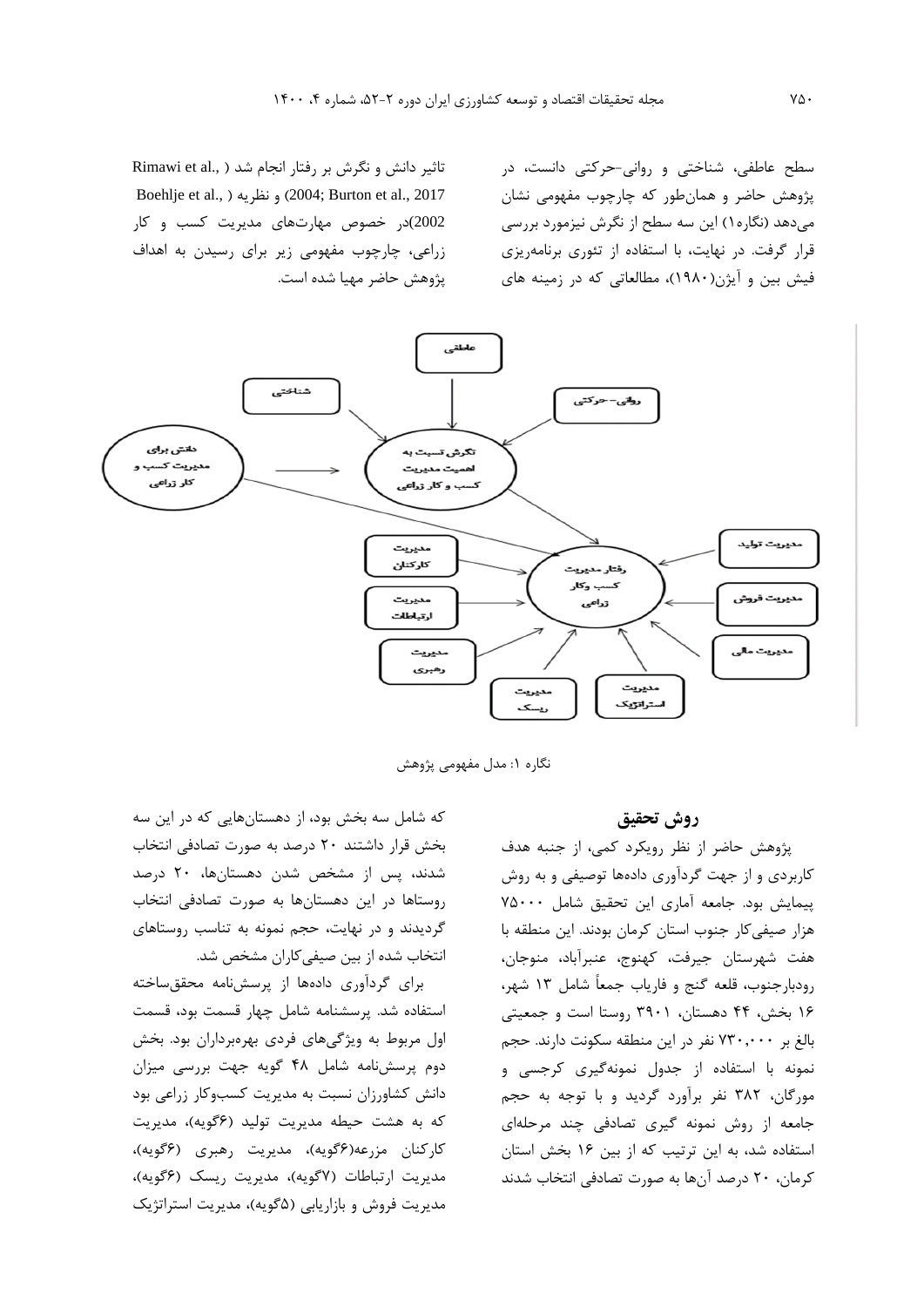سطح عاطفی، شناختی و روانی-حرکتی دانست، در پژوهش حاضر و همانطور که چارچوب مفهومی نشان میدهد )نگاره1( اين سه سطح از نگرش نیزمورد بررسی قرار گرفت. در نهايت، با استفاده از تئوري برنامهريزي فیش بین و آيژن)1980(، مطالعاتی که در زمینه هاي

تاثیر دانش و نگرش بر رفتار انجام شد ( .Rimawi et al Boehlje et al., ( نظريه و( 2004 ;Burton et al., 2017 2002)در خصوص مهارتهاي مديريت کسب و کار زراعی، چارچوب مفهومی زير براي رسیدن به اهداف پژوهش حاضر مهیا شده است.



نگاره ۱: مدل مفهومی پژوهش

## **روش تحقیق**

پژوهش حاضر از نظر رويکرد کمی، از جنبه هدف کاربردي و از جهت گردآوري دادهها توصیفی و به روش پیمايش بود. جامعه آماري اين تحقیق شامل 75000 هزار صیفیکار جنوب استان کرمان بودند. اين منطقه با هفت شهرستان جیرفت، کهنوج، عنبرآباد، منوجان، رودبارجنوب، قلعه گنج و فارياب جمعاً شامل 13 شهر، 16 بخش، 44 دهستان، 3901 روستا است و جمعیتی بالغ بر 730,000 نفر در اين منطقه سکونت دارند. حجم نمونه با استفاده از جدول نمونهگیري کرجسی و مورگان، 382 نفر برآورد گرديد و با توجه به حجم جامعه از روش نمونه گیري تصادفی چند مرحلهاي استفاده شد، به اين ترتیب که از بین 16 بخش استان کرمان، 20 درصد آنها به صورت تصادفی انتخاب شدند

که شامل سه بخش بود، از دهستانهايی که در اين سه بخش قرار داشتند 20 درصد به صورت تصادفی انتخاب شدند، پس از مشخص شدن دهستانها، 20 درصد روستاها در اين دهستانها به صورت تصادفی انتخاب گرديدند و در نهايت، حجم نمونه به تناسب روستاهاي انتخاب شده از بین صیفیکاران مشخص شد.

براي گردآوري دادهها از پرسشنامه محققساخته استفاده شد. پرسشنامه شامل چهار قسمت بود، قسمت اول مربوط به ويژگیهاي فردي بهرهبرداران بود. بخش دوم پرسشنامه شامل 48 گويه جهت بررسی میزان دانش کشاورزان نسبت به مديريت کسبوکار زراعی بود که به هشت حیطه مديريت توليد (۶گويه)، مديريت کارکنان مزرعه(گويه)، مديريت رهبري (گويه)، مديريت ارتباطات (۷گويه)، مديريت ريسک (۶گويه)، مديريت فروش و بازاريابی (۵گويه)، مديريت استراتژيک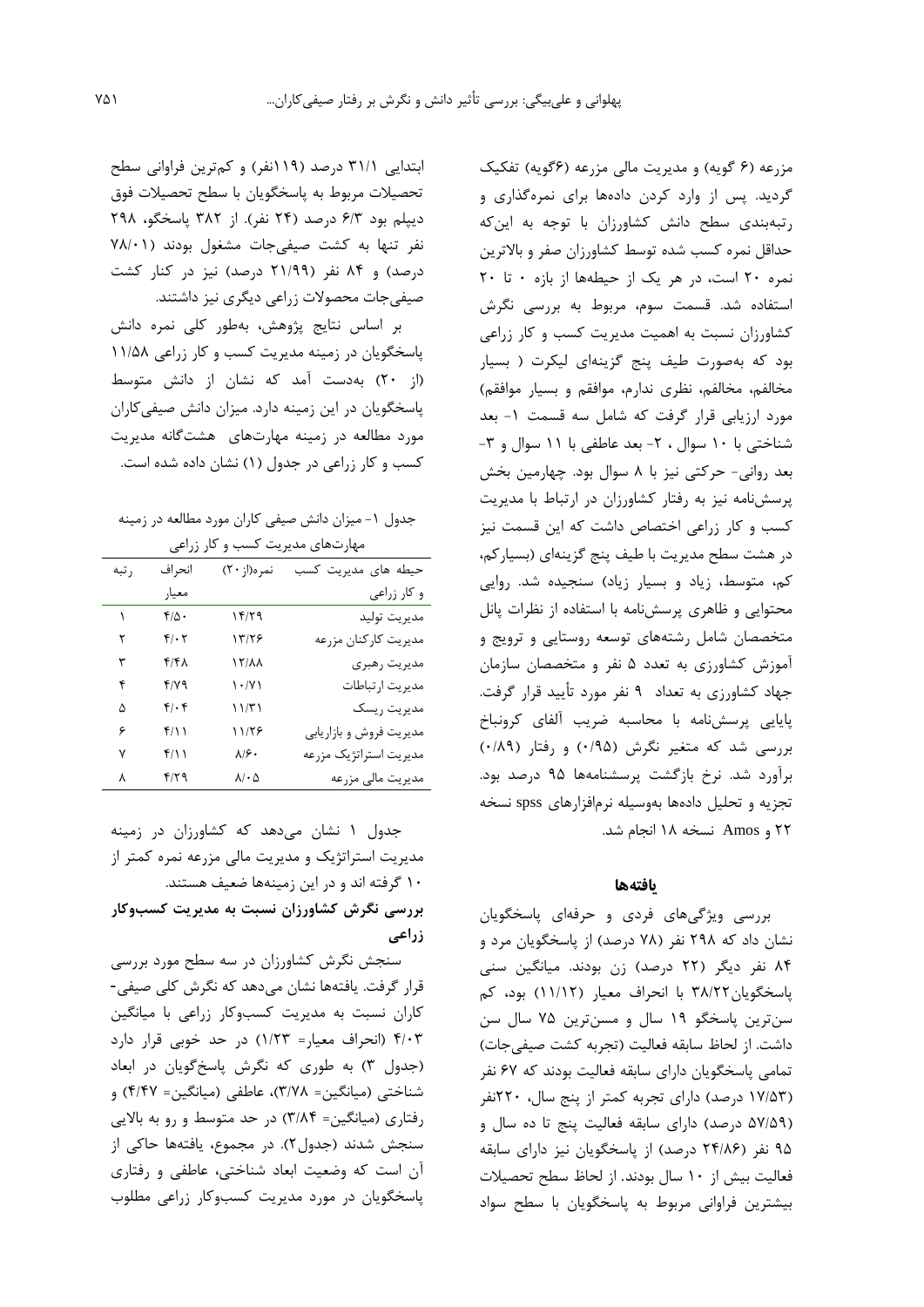مزرعه (۶ گويه) و مديريت مالی مزرعه (۶گويه) تفکيک گرديد. پس از وارد کردن دادهها براي نمرهگذاري و رتبهبندي سطح دانش کشاورزان با توجه به اينکه حداقل نمره کسب شده توسط کشاورزان صفر و باالترين نمره 20 است، در هر يک از حیطهها از بازه 0 تا 20 استفاده شد. قسمت سوم، مربوط به بررسی نگرش کشاورزان نسبت به اهمیت مديريت کسب و کار زراعی بود که بهصورت طیف پنج گزينهاي لیکرت ) بسیار مخالفم، مخالفم، نظري ندارم، موافقم و بسیار موافقم( مورد ارزيابی قرار گرفت که شامل سه قسمت -1 بعد شناختی با ١٠ سوال ، ٢- بعد عاطفی با ١١ سوال و ٣-بعد روانی- حرکتی نیز با 8 سوال بود. چهارمین بخش پرسشنامه نیز به رفتار کشاورزان در ارتباط با مديريت کسب و کار زراعی اختصاص داشت که اين قسمت نیز در هشت سطح مديريت با طیف پنج گزينهاي )بسیارکم، کم، متوسط، زياد و بسيار زياد) سنجيده شد. روايي محتوايی و ظاهري پرسشنامه با استفاده از نظرات پانل متخصصان شامل رشتههاي توسعه روستايی و ترويج و آموزش کشاورزي به تعدد 5 نفر و متخصصان سازمان جهاد کشاورزي به تعداد 9 نفر مورد تأيید قرار گرفت. پايايی پرسشنامه با محاسبه ضريب آلفاي کرونباخ بررسی شد که متغیر نگرش (۰/۹۵) و رفتار (۰/۸۹) برآورد شد. نرخ بازگشت پرسشنامهها 95 درصد بود. تجزيه و تحلیل دادهها بهوسیله نرمافزارهاي spss نسخه 22 و Amos نسخه 18 انجام شد.

### **یافتهها**

بررسی ويژگیهاي فردي و حرفهاي پاسخگويان نشان داد که ۲۹۸ نفر (۷۸ درصد) از پاسخگويان مرد و 84 نفر ديگر )22 درصد( زن بودند. میانگین سنی پاسخگويان38/22 با انحراف معیار )11/12( بود، کم سنترين پاسخگو 19 سال و مسنترين 75 سال سن داشت. از لحاظ سابقه فعالیت )تجربه کشت صیفیجات( تمامی پاسخگويان داراي سابقه فعالیت بودند که 67 نفر )17/53 درصد( داراي تجربه کمتر از پنج سال، 220نفر (۵۷/۵۹ درصد) داراي سابقه فعالیت پنج تا ده سال و ۹۵ نفر (۲۴/۸۶ درصد) از پاسخگويان نيز داراي سابقه فعالیت بیش از 10 سال بودند. از لحاظ سطح تحصیالت بیشترين فراوانی مربوط به پاسخگويان با سطح سواد

ابتدايی 31/1 درصد )119نفر( و کمترين فراوانی سطح تحصیالت مربوط به پاسخگويان با سطح تحصیالت فوق ديپلم بود 6/3 درصد )24 نفر(. از 382 پاسخگو، 298 نفر تنها به کشت صیفی جات مشغول بودند (۷۸/۰۱ درصد) و ۸۴ نفر (۲۱/۹۹ درصد) نیز در کنار کشت صیفیجات محصوالت زراعی ديگري نیز داشتند.

بر اساس نتايج پژوهش، بهطور کلی نمره دانش پاسخگويان در زمینه مديريت کسب و کار زراعی 11/58 )از 20( بهدست آمد که نشان از دانش متوسط پاسخگويان در اين زمینه دارد. میزان دانش صیفیکاران مورد مطالعه در زمینه مهارتهاي هشتگانه مديريت کسب و کار زراعی در جدول )1( نشان داده شده است.

جدول ۱- میزان دانش صیفی کاران مورد مطالعه در زمینه مهارتهاي مديريت کسب و کار زراعی

| ر تبه | انحراف       | نمره(از ۲۰)                          | حیطه های مدیریت کسب     |
|-------|--------------|--------------------------------------|-------------------------|
|       | معيار        |                                      | و کار زراعی             |
| ١     | $f/\Delta$ . | ۱۴/۲۹                                | مديريت توليد            |
| ٢     | $f/\cdot 7$  | ۱۳/۲۶                                | مديريت كاركنان مزرعه    |
| ٣     | ۴/۴۸         | <b>AA\71</b>                         | مديريت رهبري            |
| ۴     | ۴/۷۹         | $\langle \cdot   \mathbf{V} \rangle$ | مديريت ارتباطات         |
| ۵     | $f/\cdot f$  | 11/T1                                | مديريت ريسك             |
| ۶     | ۲/۱۱         | ۱۱/۲۶                                | مديريت فروش و بازاريابي |
| ٧     | ۴/۱۱         | ۸۱۶۰                                 | مديريت استراتژيک مزرعه  |
| ٨     | ۴۱۲۹         | $\lambda/\cdot \Delta$               | مديريت مالي مزرعه       |

جدول 1 نشان میدهد که کشاورزان در زمینه مديريت استراتژيک و مديريت مالی مزرعه نمره کمتر از 10 گرفته اند و در اين زمینهها ضعیف هستند. **بررسی نگرش کشاورزان نسبت به مديريت کسبوکار** 

**زراعی** سنجش نگرش کشاورزان در سه سطح مورد بررسی

قرار گرفت. يافتهها نشان میدهد که نگرش کلی صیفی- کاران نسبت به مديريت کسبوکار زراعی با میانگین 4/03 )انحراف معیار= 1/23( در حد خوبی قرار دارد )جدول 3( به طوري که نگرش پاسخگويان در ابعاد شناختی )میانگین= 3/78(، عاطفی )میانگین= 4/47( و رفتاري )میانگین= 3/84( در حد متوسط و رو به بااليی سنجش شدند )جدول2(. در مجموع، يافتهها حاکی از آن است که وضعیت ابعاد شناختی، عاطفی و رفتاري پاسخگويان در مورد مديريت کسبوکار زراعی مطلوب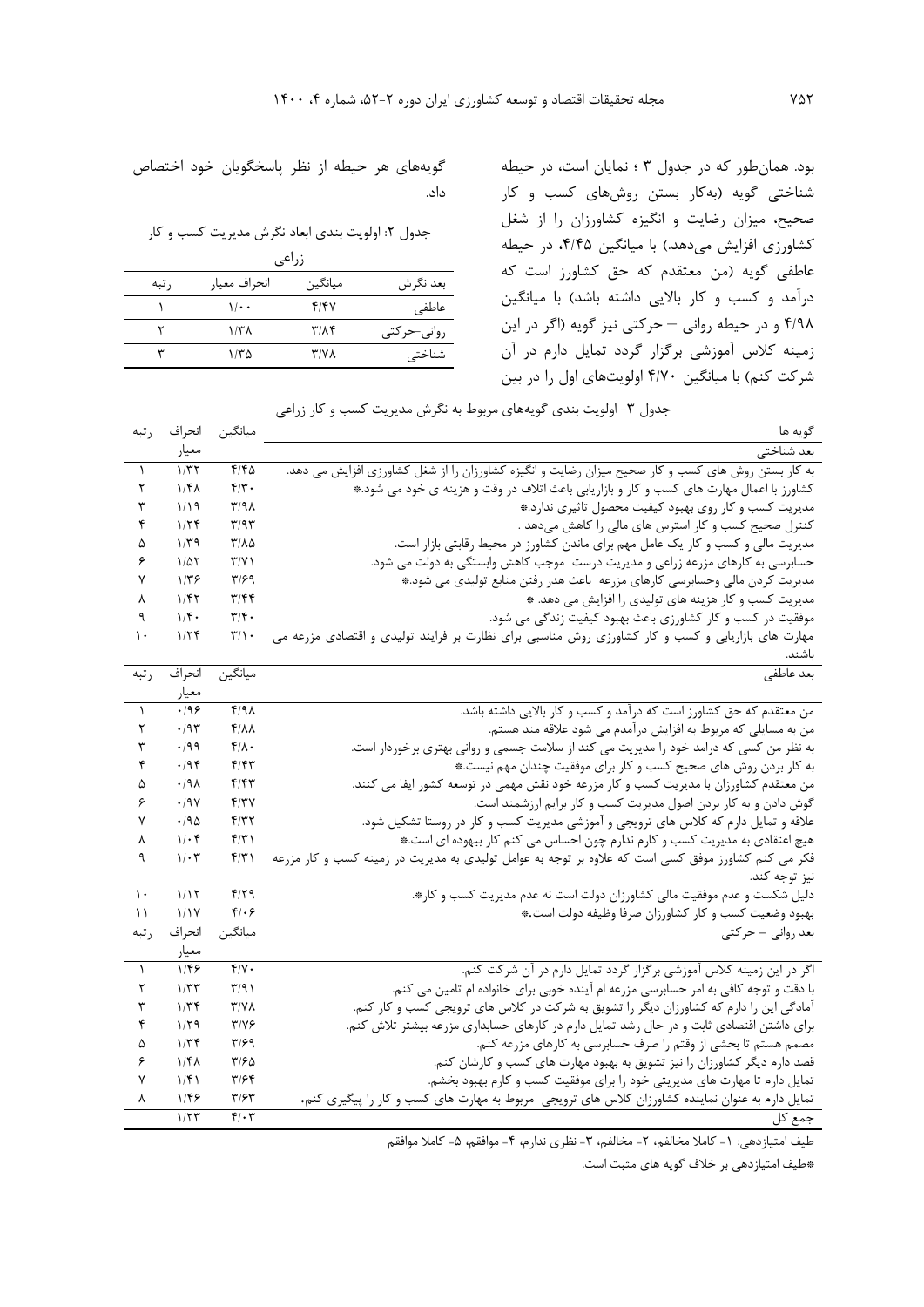بود. همانطور که در جدول 3 ؛ نمايان است، در حیطه شناختی گويه )بهکار بستن روشهاي کسب و کار صحیح، میزان رضايت و انگیزه کشاورزان را از شغل کشاورزي افزايش میدهد.) با ميانگين ۴/۴۵، در حیطه عاطفی گويه )من معتقدم که حق کشاورز است که درآمد و کسب و کار بالایی داشته باشد) با میانگین 4/98 و در حیطه روانی – حرکتی نیز گويه )اگر در اين زمینه کالس آموزشی برگزار گردد تمايل دارم در آن شرکت کنم) با میانگین ۴/۷۰ اولویتهاي اول را در بین

گويههاي هر حیطه از نظر پاسخگويان خود اختصاص داد.

جدول ٢: اولويت بندي ابعاد نگرش مديريت کسب و کار

| زراعى |              |                         |             |  |  |  |
|-------|--------------|-------------------------|-------------|--|--|--|
| , تبه | انحراف معيار | ميانگين                 | بعد نگرش    |  |  |  |
|       | ۰۱۱۰         | 4/4                     | عاطفى       |  |  |  |
|       | ۱/۳۸         | $\mathbf{r}/\mathbf{r}$ | روانی–حرکتی |  |  |  |
| w     | ۱/۳۵         | $Y/Y\Lambda$            | شناختی      |  |  |  |

جدول ۳- اولويت بندي گويههاي مربوط به نگرش مديريت کسب و کار زراعي

| , تبه         | انحراف              | ميانگين                           | گويه ها                                                                                                                                                                                       |
|---------------|---------------------|-----------------------------------|-----------------------------------------------------------------------------------------------------------------------------------------------------------------------------------------------|
|               | معيار               |                                   |                                                                                                                                                                                               |
| A.            | 1/T                 | $F/F\Delta$                       | بعد شناختی                                                                                                                                                                                    |
| ٢             | $1/f\lambda$        | $f/\tau$ .                        | به کار بستن روش های کسب و کار صحیح میزان رضایت و انگیزه کشاورزان را از شغل کشاورزی افزایش می دهد.<br>کشاورز با اعمال مهارت های کسب و کار و بازاریابی باعث اتلاف در وقت و هزینه ی خود می شود.* |
| ٣             | 1/19                | $\mathcal{N}/\mathcal{N}$         | مدیریت کسب و کار روی بهبود کیفیت محصول تاثیری ندارد.*                                                                                                                                         |
| ۴             | 1/5f                | $\mathbf{r}/\mathbf{a}\mathbf{r}$ |                                                                                                                                                                                               |
| ۵             | $1/\tau$ ۹          | ۳/۸۵                              | کنترل صحیح کسب و کار استرس های مالی را کاهش میدهد .<br>مدیریت مالی و کسب و کار یک عامل مهم برای ماندن کشاورز در محیط رقابتی بازار است.                                                        |
| ۶             | $1/\Delta \Upsilon$ | $\Upsilon/\Upsilon$               | حسابرسی به کارهای مزرعه زراعی و مدیریت درست ًموجب کاهش وابستگی به دولت می شود.                                                                                                                |
| ٧             | $1/\tau$ ۶          | ۳۱۶۹                              | مدیریت کردن مالی وحسابرسی کارهای مزرعه باعث هدر رفتن منابع تولیدی می شود.*                                                                                                                    |
| ٨             | ۱/۴۲                | ۳/۴۴                              | مدیریت کسب و کار هزینه های تولیدی را افزایش می دهد. *                                                                                                                                         |
| ٩             | $1/\mathfrak{f}$ .  | $\mathbf{r}/\mathbf{r}$ .         | موفقیت در کسب و کار کشاورزی باعث بهبود کیفیت زندگی می شود.                                                                                                                                    |
| $\mathcal{L}$ | 1/5                 | $\mathbf{r}/\mathbf{v}$ .         | مهارت های بازاریابی و کسب و کار کشاورزی روش مناسبی برای نظارت بر فرایند تولیدی و اقتصادی مزرعه می                                                                                             |
|               |                     |                                   |                                                                                                                                                                                               |
| رتبه          | انحراف              | ميانگين                           | بعد عاطفي                                                                                                                                                                                     |
|               | معيار               |                                   |                                                                                                                                                                                               |
| $\lambda$     | .199                | 4/98                              | من معتقدم که حق کشاورز است که درآمد و کسب و کار بالایی داشته باشد.                                                                                                                            |
| ٢             | $\cdot$ /9٣         | $f/\lambda\lambda$                | من به مسایلی که مربوط به افزایش درآمدم می شود علاقه مند هستم.                                                                                                                                 |
| ٣             | .199                | $f/\lambda$ .                     | به نظر من کسی که درامد خود را مدیریت می کند از سلامت جسمی و روانی بهتری برخوردار است.                                                                                                         |
| ۴             | .195                | ۴۱۴۳                              | به کار بردن روش های صحیح کسب و کار برای موفقیت چندان مهم نیست.*                                                                                                                               |
| ۵             | .44                 | ۴۱۴۳                              | من معتقدم کشاورزان با مدیریت کسب و کار مزرعه خود نقش مهمی در توسعه کشور ایفا می کنند.                                                                                                         |
| ۶             | .19V                | f/7V                              | گوش دادن و به کار بردن اصول مدیریت کسب و کار برایم ارزشمند است.                                                                                                                               |
| ٧             | .790                | f/T                               | علاقه و تمایل دارم که کلاس های ترویجی و آموزشی مدیریت کسب و کار در روستا تشکیل شود.                                                                                                           |
| ٨             | $1/\cdot$ ۴         | f(T)                              | هیچ اعتقادی به مدیریت کسب و کارم ندارم چون احساس می کنم کار بیهوده ای است.*                                                                                                                   |
| ٩             | $1/\cdot 7$         | f/T                               | فکر می کنم کشاورز موفق کسی است که علاوه بر توجه به عوامل تولیدی به مدیریت در زمینه کسب و کار مزرعه                                                                                            |
|               |                     |                                   | نيز توجه كند.                                                                                                                                                                                 |
| ۱۰            | 1/17                | $f/\zeta$                         | دلیل شکست و عدم موفقیت مالی کشاورزان دولت است نه عدم مدیریت کسب و کار*.                                                                                                                       |
| ۱۱            | 1/1Y                | ۴۱۰۶                              | بهبود وضعیت كسب و كار كشاورزان صرفا وظيفه دولت است.*                                                                                                                                          |
| ر تبه         | انحراف              | ميانگين                           | ۔ بعد روان <i>ی – ح</i> رکت <i>ی</i>                                                                                                                                                          |
|               | معيار               |                                   |                                                                                                                                                                                               |
| $\lambda$     | 1/FF                | $f/Y$ .                           | اگر در این زمینه کلاس آموزشی برگزار گردد تمایل دارم در آن شرکت کنم.                                                                                                                           |
| ٢             | 1/TT                | T/91                              | با دقت و توجه کافی به امر حسابرسی مزرعه ام آینده خوبی برای خانواده ام تامین می کنم.                                                                                                           |
| ٣             | 1/Tf                | $Y/Y\Lambda$                      | آمادگی این را دارم که کشاورزان دیگر را تشویق به شرکت در کلاس های ترویجی کسب و کار کنم.                                                                                                        |
| ۴             | 1/79                | $T/Y$ ۶                           | برای داشتن اقتصادی ثابت و در حال رشد تمایل دارم در کارهای حسابداری مزرعه بیشتر تلاش کنم.                                                                                                      |
| ۵             | 1/Tf                | ۳۱۶۹                              | مصمم هستم تا بخشی از وقتم را صرف حسابرسی به کارهای مزرعه کنم.                                                                                                                                 |
| ۶             | $1/f\lambda$        | ۳۱۶۵                              | قصد دارم دیگر کشاورزان را نیز تشویق به بهبود مهارت های کسب و کارشان کنم.                                                                                                                      |
| ٧             | 1/f1                | ۳۱۶۴                              | تمایل دارم تا مهارت های مدیریتی خود را برای موفقیت کسب و کارم بهبود بخشم.                                                                                                                     |
| γ             | ۱۱۴۶                | $\mathbf{r}/\mathbf{r}$           | تمایل دارم به عنوان نماینده کشاورزان کلاس های ترویجی ً مربوط به مهارت های کسب و کار را پیگیری کنم.                                                                                            |
|               | 1/TT                | $f(\cdot)$                        | جمع کل                                                                                                                                                                                        |

طیف امتیازدهی: 1= کامال مخالفم، 2= مخالفم، 3= نظري ندارم، 4= موافقم، 5= کامال موافقم

\*طیف امتیازدهی بر خالف گويه هاي مثبت است.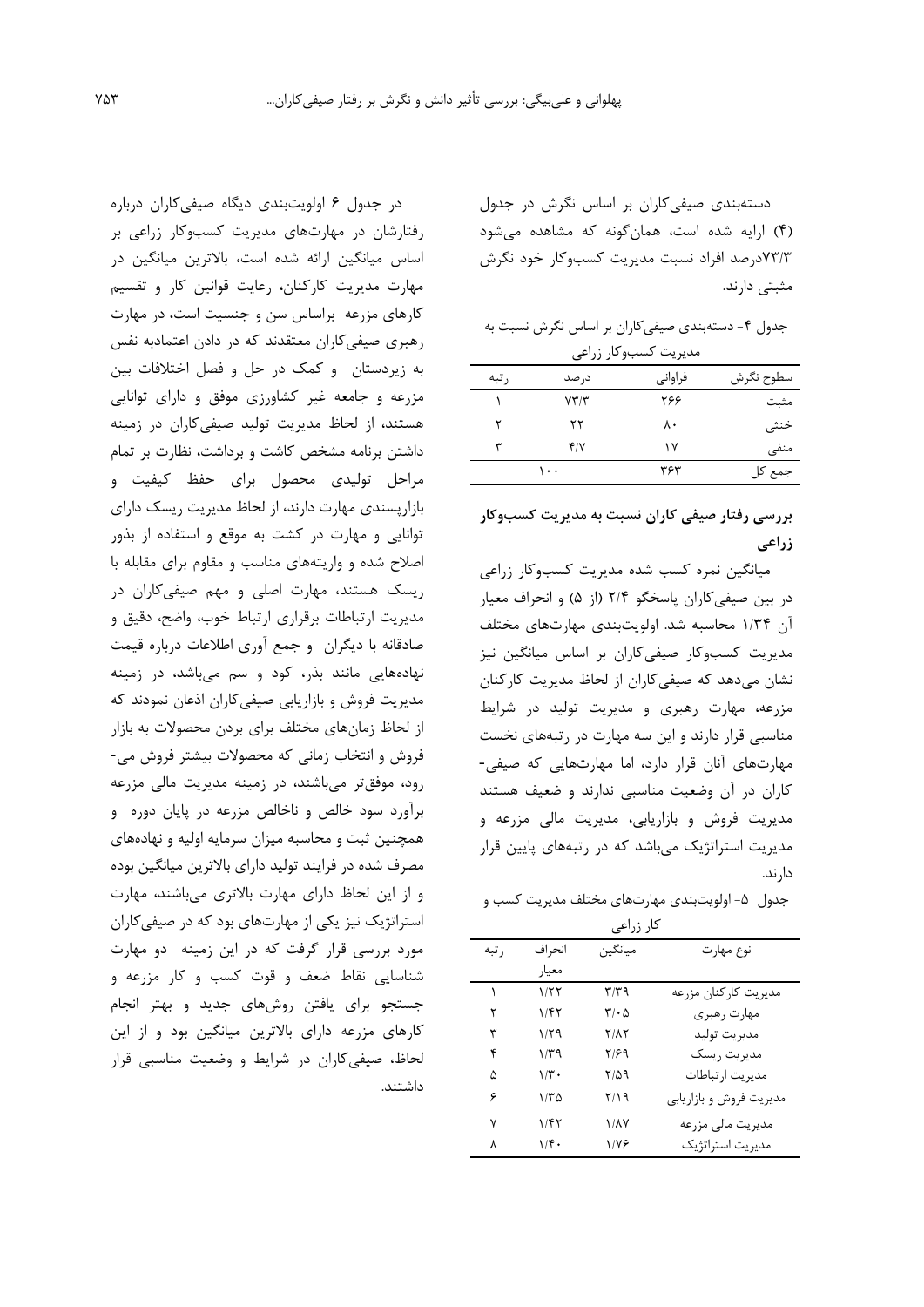دستهبندي صیفیکاران بر اساس نگرش در جدول )4( ارايه شده است، همانگونه که مشاهده میشود 73/3درصد افراد نسبت مديريت کسبوکار خود نگرش مثبتی دارند.

جدول ۴- دستهبندی صیفیکاران بر اساس نگرش نسبت به مديريت کسبوکار زراعی

| سطوح نگرش | فراواني | در صد      | ر تبه |
|-----------|---------|------------|-------|
| مثبت      | ۲۶۶     | YY/Y       |       |
| خنثى      | ۸۰      | ۲۲         |       |
| منفى      | ۱۷      | $f/\gamma$ | ٣     |
| جمع کل    | ۳۶۳     | ۱۰۰        |       |

# **بررسی رفتار صيفی کاران نسبت به مديريت کسبوکار زراعی**

میانگین نمره کسب شده مديريت کسبوکار زراعی در بین صیفیکاران پاسخگو 2/4 )از 5( و انحراف معیار آن 1/34 محاسبه شد. اولويتبندي مهارتهاي مختلف مديريت کسبوکار صیفیکاران بر اساس میانگین نیز نشان میدهد که صیفیکاران از لحاظ مديريت کارکنان مزرعه، مهارت رهبري و مديريت تولید در شرايط مناسبی قرار دارند و اين سه مهارت در رتبههاي نخست مهارتهاي آنان قرار دارد، اما مهارتهايی که صیفی- کاران در آن وضعیت مناسبی ندارند و ضعیف هستند مديريت فروش و بازاريابی، مديريت مالی مزرعه و مديريت استراتژيک میباشد که در رتبههاي پايین قرار دارند.

جدول ۵- اولويتبندي مهارتهاي مختلف مديريت کسب و کار زراعی

| ∽ر رر ⊶ی |               |                             |                         |  |  |  |
|----------|---------------|-----------------------------|-------------------------|--|--|--|
| , تبه    | انحر اف       | ميانگين                     | نوع مهارت               |  |  |  |
|          | معيار         |                             |                         |  |  |  |
|          | ۱۱۲۲          | ۳/۳۹                        | مديريت كاركنان مزرعه    |  |  |  |
| ۲        | ۱/۴۲          | $\mathbf{r}\cdot\mathbf{r}$ | مهارت رهبري             |  |  |  |
| ٣        | ۱۱۲۹          | 7/17                        | مديريت توليد            |  |  |  |
| ۴        | ۱۳۹           | ۲/۶۹                        | مديريت ريسك             |  |  |  |
| ۵        | $1/\tilde{r}$ | 7/59                        | مديريت ارتباطات         |  |  |  |
| ۶        | ۱/۳۵          | ۲/۱۹                        | مدیریت فروش و بازاریابی |  |  |  |
| ۷        | ۱/۴۲          | ۱/۸۷                        | مدیریت مالی مزرعه       |  |  |  |
| ٨        | 1/f.          | ۱۱۷۶                        | مديريت استراتژيک        |  |  |  |

در جدول 6 اولويتبندي ديگاه صیفیکاران درباره رفتارشان در مهارتهاي مديريت کسبوکار زراعی بر اساس میانگین ارائه شده است، باالترين میانگین در مهارت مديريت کارکنان، رعايت قوانین کار و تقسیم کارهاي مزرعه براساس سن و جنسیت است، در مهارت رهبري صیفیکاران معتقدند که در دادن اعتمادبه نفس به زيردستان و کمک در حل و فصل اختالفات بین مزرعه و جامعه غیر کشاورزي موفق و داراي توانايی هستند، از لحاظ مديريت تولید صیفیکاران در زمینه داشتن برنامه مشخص کاشت و برداشت، نظارت بر تمام مراحل تولیدي محصول براي حفظ کیفیت و بازارپسندي مهارت دارند، از لحاظ مديريت ريسک داراي توانايی و مهارت در کشت به موقع و استفاده از بذور اصالح شده و واريتههاي مناسب و مقاوم براي مقابله با ريسک هستند، مهارت اصلی و مهم صیفیکاران در مديريت ارتباطات برقراري ارتباط خوب، واضح، دقیق و صادقانه با ديگران و جمع آوري اطالعات درباره قیمت نهادههايی مانند بذر، کود و سم میباشد، در زمینه مديريت فروش و بازاريابی صیفیکاران اذعان نمودند که از لحاظ زمانهاي مختلف براي بردن محصوالت به بازار فروش و انتخاب زمانی که محصوالت بیشتر فروش می- رود، موفقتر میباشند، در زمینه مديريت مالی مزرعه برآورد سود خالص و ناخالص مزرعه در پايان دوره و همچنین ثبت و محاسبه میزان سرمايه اولیه و نهادههاي مصرف شده در فرايند تولید داراي باالترين میانگین بوده و از اين لحاظ داراي مهارت باالتري میباشند، مهارت استراتژيک نیز يکی از مهارتهاي بود که در صیفیکاران مورد بررسی قرار گرفت که در اين زمینه دو مهارت شناسايی نقاط ضعف و قوت کسب و کار مزرعه و جستجو براي يافتن روشهاي جديد و بهتر انجام کارهاي مزرعه داراي باالترين میانگین بود و از اين لحاظ، صیفیکاران در شرايط و وضعیت مناسبی قرار داشتند.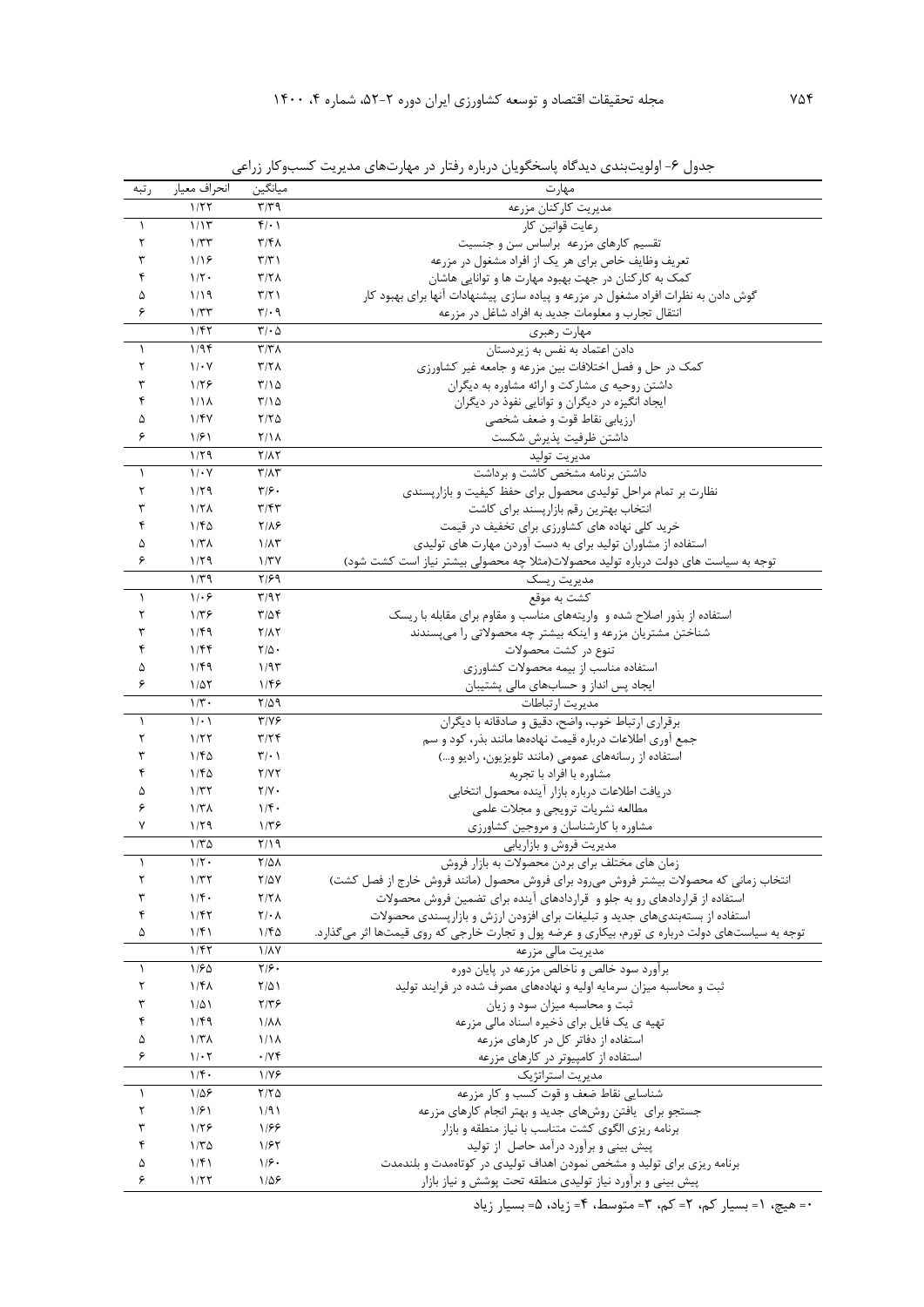| رتبه      | انحراف معيار       | ميانگين                       | مهارت                                                                                           |
|-----------|--------------------|-------------------------------|-------------------------------------------------------------------------------------------------|
|           | 1/57               | T/T9                          | مديريت كاركنان مزرعه                                                                            |
| $\lambda$ | 1/15               | $f(\cdot)$                    | رعايت قوانين كار                                                                                |
| ٢         | 1/TT               | $\mathbf{r}/\mathbf{r}$       | تقسیم کارهای مزرعه براساس سن و جنسیت                                                            |
| ٣         | 1/19               | $\Upsilon/\Upsilon$           | تعریف وظایف خاص برای هر یک از افراد مشغول در مزرعه                                              |
| ۴         | $1/\tau$ .         | Y/Y                           | کمک به کارکنان در جهت بهبود مهارت ها و توانایی هاشان                                            |
| ۵         | 1/19               | $\Upsilon/\Upsilon$           | گوش دادن به نظرات افراد مشغول در مزرعه و پیاده سازی پیشنهادات آنها برای بهبود کار               |
| ۶         | 1/TT               | $\mathbf{y} \cdot \mathbf{q}$ |                                                                                                 |
|           | 1/FY               |                               | انتقال تجارب و معلومات جدید به افراد شاغل در مزرعه                                              |
|           |                    | $\Gamma/\cdot \Delta$         | مهارت رهبر <u>ي</u> _____                                                                       |
| $\lambda$ | 1/9f               | $\Upsilon/\Upsilon\Lambda$    | دادن اعتماد به نفس به زیردستان                                                                  |
| ٢         | $1/\cdot Y$        | Y/Y                           | کمک در حل و فصل اختلافات بین مزرعه و جامعه غیر کشاورزی                                          |
| ٣         | 1/59               | $T/\Omega$                    | داشتن روحیه ی مشارکت و ارائه مشاوره به دیگران                                                   |
| ۴         | 1/1 <sub>A</sub>   | $T/\Omega$                    | ایجاد انگیزه در دیگران و توانایی نفوذ در دیگران                                                 |
| ۵         | 1/FV               | $Y/Y\Delta$                   | ارزيابي نقاط قوت و ضعف شخصي                                                                     |
| ۶         | 1/51               | $Y/\lambda$                   | داشتن ظرفيت پذيرش شكست                                                                          |
|           | 1/79               | $Y/\lambda Y$                 | مديريت توليد                                                                                    |
| $\lambda$ | $1/\cdot Y$        | $\Upsilon/\Lambda\Upsilon$    | داشتن برنامه مشخص کاشت و برداشت                                                                 |
| ٢         | 1/79               | $\mathbf{y}/\mathbf{y}$ .     | نظارت بر تمام مراحل تولیدی محصول برای حفظ کیفیت و بازار پسندی                                   |
| ٣         | $1/7\Lambda$       | $\mathbf{r}/\mathbf{r}$       | انتخاب بهترین رقم بازارپسند برای کاشت                                                           |
| ۴         | 1/FQ               | $Y/\lambda$ ۶                 | خرید کلی نهاده های کشاورزی برای تخفیف در قیمت                                                   |
| ۵         | 1/T <sub>A</sub>   | $1/\lambda$ ۳                 | استفاده از مشاوران تولید برای به دست آوردن مهارت های تولیدی                                     |
| ۶         | 1/79               | $1/\tau$                      | توجه به سیاست های دولت درباره تولید محصولات(مثلا چه محصولی بیشتر نیاز است کشت شود)              |
|           | $1/\tau$ 9         | ۲/۶۹                          | مديريت ريسك                                                                                     |
| $\lambda$ | $1/\cdot 5$        | T/97                          | كشت به موقع                                                                                     |
| ٢         | $1/\tau$ ۶         | $T/\Delta f$                  | استفاده از بذور اصلاح شده و واریتههای مناسب و مقاوم برای مقابله با ریسک                         |
| ٣         | 1/F9               | $Y/\lambda Y$                 |                                                                                                 |
|           |                    |                               | شناختن مشتریان مزرعه و اینکه بیشتر چه محصولاتی را میپسندند                                      |
| ۴         | 1/Ff               | $Y/\Delta$ .                  | تنوع در كشت محصولات                                                                             |
| ۵         | 1/F9               | 1/95                          | استفاده مناسب از بيمه محصولات كشاورزى                                                           |
| ۶         | $1/\Delta\Upsilon$ | ۱۱۴۶                          | ایجاد پس انداز و حسابهای مالی پشتیبان                                                           |
|           | $1/\tau$ .         | $Y/\Delta$ 9                  | مديريت ارتباطات                                                                                 |
| $\lambda$ | 1/2                | $Y/Y$ ۶                       | برقراري ارتباط خوب، واضح، دقيق و صادقانه با ديگران                                              |
| ٢         | 1/57               | T/Tf                          | جمع آوري اطلاعات درباره قيمت نهادهها مانند بذر، كود و سم                                        |
| ٣         | 1/FQ               | $\mathbf{Y}/\cdot$            | استفاده از رسانههای عمومی (مانند تلویزیون، رادیو و…)                                            |
| ۴         | 1/FQ               | Y/YY                          | مشاوره با افراد با تجربه                                                                        |
| ۵         | 1/TT               | $Y/Y$ .                       | دريافت اطلاعات درباره بازار آينده محصول انتخابى                                                 |
| ۶         | 1/T <sub>A</sub>   | $1/\mathfrak{f}$ .            | مطالعه نشريات ترويجي و مجلات علمي                                                               |
| ٧         | 1/79               | ۱۳۶                           | مشاوره با کارشناسان و مروجین کشاورزی                                                            |
|           | $1/\tau \Delta$    | Y/Y                           | مدیریت فروش و بازاریابی                                                                         |
| $\lambda$ | $1/\tau$ .         | <b>Y/41</b>                   | زمان های مختلف برای بردن محصولات به بازار فروش                                                  |
| ٢         | 1/TT               | $Y/\Delta Y$                  | انتخاب زمانی که محصولات بیشتر فروش میرود برای فروش محصول (مانند فروش خارج از فصل کشت)           |
| ٣         | 1/f.               | Y/Y                           | استفاده از قراردادهای رو به جلو و قراردادهای آینده برای تضمین فروش محصولات                      |
| ۴         | 1/fT               | $Y/\cdot \Lambda$             | استفاده از بستهبندیهای جدید و تبلیغات برای افزودن ارزش و بازارپسندی محصولات                     |
| ۵         | 1/f                | ۱۱۴۵                          | توجه به سیاستهای دولت درباره ی تورم، بیکاری و عرضه پول و تجارت خارجی که روی قیمتها اثر میگذارد. |
|           | $1/f\gamma$        | <b>1/AY</b>                   | مدیریت مالی مزرعه                                                                               |
| $\lambda$ | 1/50               | $Y/\mathcal{F}$ .             | برآورد سود خالص و ناخالص مزرعه در پایان دوره                                                    |
| ٢         | $1/f\lambda$       | $Y/\Delta$                    | ثبت و محاسبه میزان سرمایه اولیه و نهادههای مصرف شده در فرایند تولید                             |
| ٣         | $1/\Delta$         | $Y/Y$ ۶                       | ثبت و محاسبه میزان سود و زیان                                                                   |
| ۴         |                    |                               |                                                                                                 |
|           | 1/F9               | $1/\lambda\lambda$            | تهیه ی یک فایل برای ذخیره اسناد مالی مزرعه                                                      |
| ۵         | 1/T <sub>A</sub>   | 1/1 <sub>A</sub>              | استفاده از دفاتر کل در کارهای مزرعه                                                             |
| ۶         | $1/\cdot 7$        | $\cdot$ / $\vee$ $\uparrow$   | استفاده از کامپیوتر در کارهای مزرعه                                                             |
|           | 1/f.               | 1/78                          | مدیریت استراتژیک                                                                                |
| $\lambda$ | $1/\Delta$ ۶       | $Y/Y$ $\Delta$                | شناسایی نقاط ضعف و قوت کسب و کار مزرعه                                                          |
| ٢         | 1/f1               | 1/91                          | جستجو برای یافتن روشهای جدید و بهتر انجام کارهای مزرعه                                          |
| ٣         | 1/59               | 1188                          | برنامه ریزی الگوی کشت متناسب با نیاز منطقه و بازار                                              |
| ۴         | $1/T\Delta$        | 1185                          | پیش بینی و برآورد درآمد حاصل از تولید                                                           |
| ۵         | 1/f                | 1/9.                          | برنامه ریزی برای تولید و مشخص نمودن اهداف تولیدی در کوتاهمدت و بلندمدت                          |
| ۶         | 1/57               | $1/\Delta$ ۶                  | پیش بینی و برآورد نیاز تولیدی منطقه تحت پوشش و نیاز بازار                                       |
|           |                    |                               |                                                                                                 |

جدول ۶- اولويتبندي ديدگاه پاسخگويان درباره رفتار در مهارتهاي مديريت کسبوکار زراعي

0= هیچ، 1= بسیار کم، 2= کم، 3= متوسط، 4= زياد، 5= بسیار زياد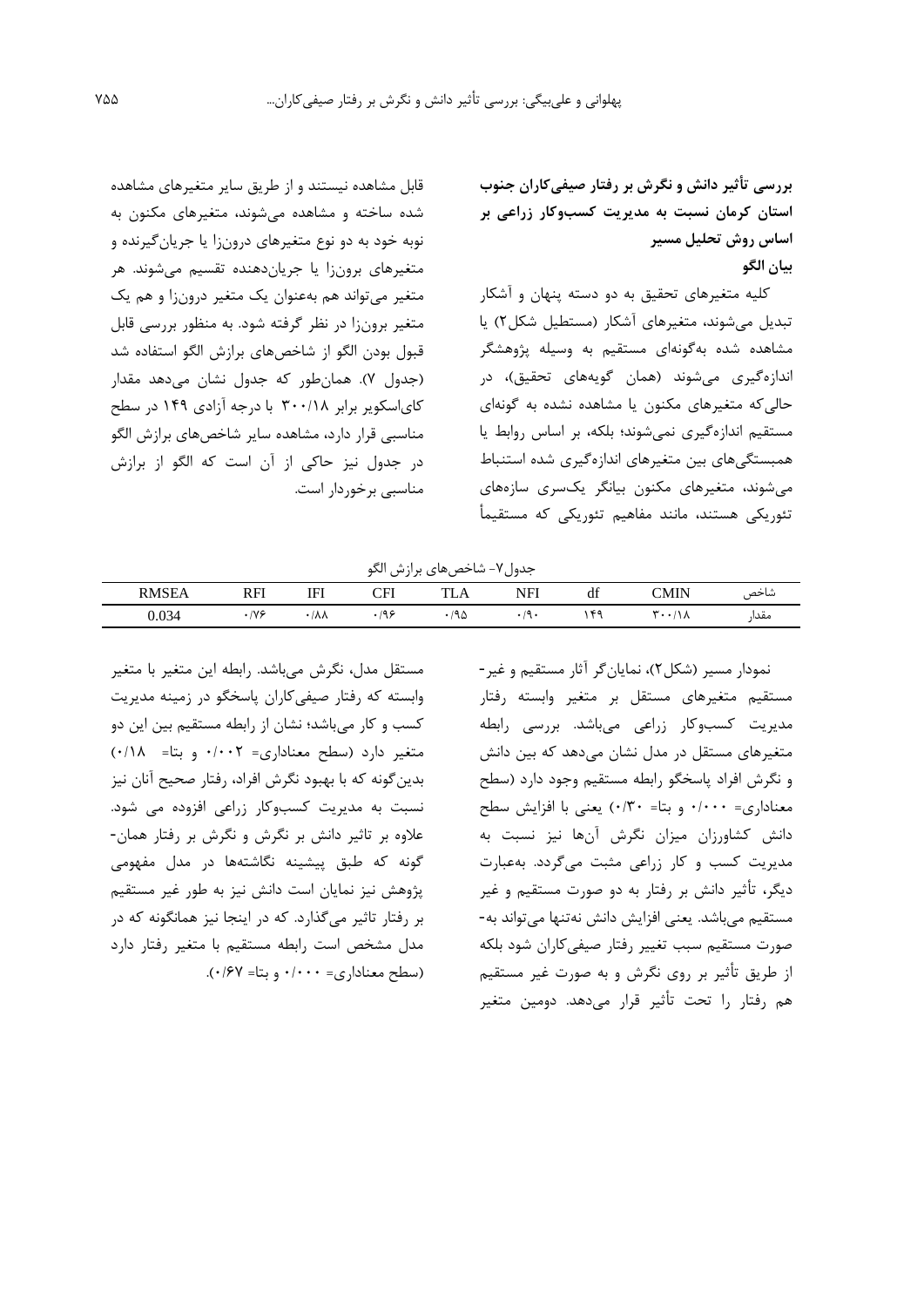**بررسی تأثير دانش و نگرش بر رفتار صيفیکاران جنوب استان کرمان نسبت به مديريت کسبوکار زراعی بر اساس روش تحليل مسير بيان الگو**

کلیه متغیرهاي تحقیق به دو دسته پنهان و آشکار تبديل میشوند، متغیرهاي آشکار )مستطیل شکل2( يا مشاهده شده بهگونهاي مستقیم به وسیله پژوهشگر اندازهگیري میشوند (همان گويههاي تحقیق)، در حالیکه متغیرهاي مکنون يا مشاهده نشده به گونهاي مستقیم اندازهگیري نمیشوند؛ بلکه، بر اساس روابط يا همبستگیهاي بین متغیرهاي اندازهگیري شده استنباط میشوند، متغیرهاي مکنون بیانگر يکسري سازههاي تئوريکی هستند، مانند مفاهیم تئوريکی که مستقیمأ

قابل مشاهده نیستند و از طريق ساير متغیرهاي مشاهده شده ساخته و مشاهده میشوند، متغیرهاي مکنون به نوبه خود به دو نوع متغیرهاي درونزا يا جريانگیرنده و متغیرهاي برونزا يا جرياندهنده تقسیم میشوند. هر متغیر میتواند هم بهعنوان يک متغیر درونزا و هم يک متغیر برونزا در نظر گرفته شود. به منظور بررسی قابل قبول بودن الگو از شاخصهاي برازش الگو استفاده شد )جدول 7(. همانطور که جدول نشان میدهد مقدار کاياسکوير برابر 300/18 با درجه آزادي 149 در سطح مناسبی قرار دارد، مشاهده ساير شاخصهاي برازش الگو در جدول نیز حاکی از آن است که الگو از برازش مناسبی برخوردار است.

جدول-7 شاخصهاي برازش الگو

| RMSE. | RFI<br>--- | <b>TTI</b><br>⊩<br>. | $\cap$ FI<br>◡ェℶ   | m<br><i>נו ב</i> ו | NFI | $\cdot$<br>đÌ | 'MIN<br>СІУІПА | شاحص         |
|-------|------------|----------------------|--------------------|--------------------|-----|---------------|----------------|--------------|
| 0.034 | IV S       | ۸۸/                  | ے ور<br>$\sqrt{ }$ | ٦۵                 | . . | $\epsilon$    | $\sqrt{ }$     | معدا<br>---- |

مستقل مدل، نگرش میباشد. رابطه اين متغیر با متغیر وابسته که رفتار صیفیکاران پاسخگو در زمینه مديريت کسب و کار میباشد؛ نشان از رابطه مستقیم بین اين دو متغیر دارد )سطح معناداري= 0/002 و بتا= 0/18( بدينگونه که با بهبود نگرش افراد، رفتار صحیح آنان نیز نسبت به مديريت کسبوکار زراعی افزوده می شود. عالوه بر تاثیر دانش بر نگرش و نگرش بر رفتار همان- گونه که طبق پیشینه نگاشتهها در مدل مفهومی پژوهش نیز نمايان است دانش نیز به طور غیر مستقیم بر رفتار تاثیر میگذارد. که در اينجا نیز همانگونه که در مدل مشخص است رابطه مستقیم با متغیر رفتار دارد )سطح معناداري= 0/000 و بتا= 0/67(.

نمودار مسیر )شکل2(، نمايانگر آثار مستقیم و غیر- مستقیم متغیرهاي مستقل بر متغیر وابسته رفتار مديريت کسبوکار زراعی میباشد. بررسی رابطه متغیرهاي مستقل در مدل نشان میدهد که بین دانش و نگرش افراد پاسخگو رابطه مستقیم وجود دارد )سطح معناداري= 0/000 و بتا= 0/30( يعنی با افزايش سطح دانش کشاورزان میزان نگرش آنها نیز نسبت به مديريت کسب و کار زراعی مثبت میگردد. بهعبارت ديگر، تأثیر دانش بر رفتار به دو صورت مستقیم و غیر مستقیم میباشد. يعنی افزايش دانش نهتنها میتواند به- صورت مستقیم سبب تغییر رفتار صیفی کاران شود بلکه از طريق تأثیر بر روي نگرش و به صورت غیر مستقیم هم رفتار را تحت تأثیر قرار میدهد. دومین متغیر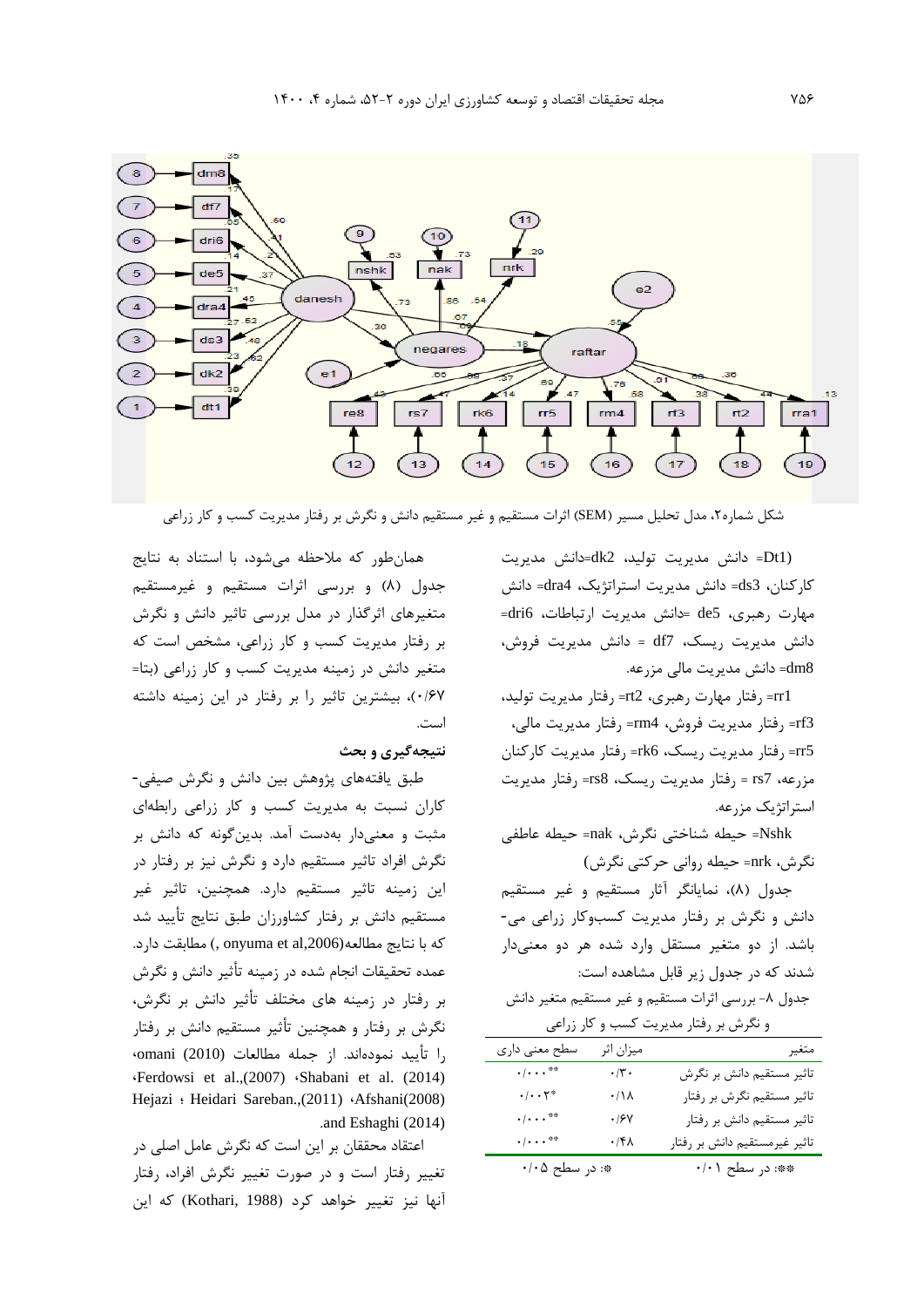

شکل شماره۲، مدل تحلیل مسیر (SEM) اثرات مستقیم و غیر مستقیم دانش و نگرش بر رفتار مدیریت کسب و کار زراعی

(1Dt =دانش مديريت تولید، 2dk=دانش مديريت کارکنان، 3ds =دانش مديريت استراتژيک، 4dra =دانش مهارت رهبري، 5de= دانش مديريت ارتباطات، 6dri = دانش مديريت ريسک، 7df = دانش مديريت فروش، dm8= دانش مديريت مالي مزرعه.

1rr =رفتار مهارت رهبري، 2rt =رفتار مديريت تولید، 3rf =رفتار مديريت فروش، 4rm =رفتار مديريت مالی، 5rr =رفتار مديريت ريسک، 6rk =رفتار مديريت کارکنان مزرعه، 7rs = رفتار مديريت ريسک، 8rs =رفتار مديريت استراتژيک مزرعه.

Nshk =حیطه شناختی نگرش، nak =حیطه عاطفی نگرش، nrk =حیطه روانی حرکتی نگرش)

جدول )8(، نمايانگر آثار مستقیم و غیر مستقیم دانش و نگرش بر رفتار مديريت کسبوکار زراعی می- باشد. از دو متغیر مستقل وارد شده هر دو معنیدار شدند که در جدول زير قابل مشاهده است:

جدول ۸- بررسی اثرات مستقیم و غیر مستقیم متغیر دانش و نگرش بر رفتار مديريت کسب و کار زراعی

| و تیرس بر رفتار مدیریت نسب و نار رزاحی |                    |                               |  |  |  |  |  |
|----------------------------------------|--------------------|-------------------------------|--|--|--|--|--|
| سطح معنی داری                          | ميزان اثر          | متغير                         |  |  |  |  |  |
| $\cdot/\cdot\cdot\cdot$ <sup>**</sup>  | $\cdot$ /٢ $\cdot$ | تاثیر مستقیم دانش بر نگرش     |  |  |  |  |  |
| $\cdot/\cdot\cdot\tau^*$               | $\cdot/\Lambda$    | تاثیر مستقیم نگرش بر رفتار    |  |  |  |  |  |
| $\cdot$ / $\cdot$ . $\cdot$ **         | $\cdot$ /۶۷        | تاثیر مستقیم دانش بر رفتار    |  |  |  |  |  |
| $\cdot/\cdot\cdot$ <sup>**</sup>       | $\cdot$ /۴۸        | تاثیر غیرمستقیم دانش بر رفتار |  |  |  |  |  |
| *: در سطح ۰/۰۵                         |                    | **: در سطح ۰/۰۱               |  |  |  |  |  |

همانطور که مالحظه میشود، با استناد به نتايج جدول (٨) و بررسی اثرات مستقیم و غیرمستقیم متغیرهاي اثرگذار در مدل بررسی تاثیر دانش و نگرش بر رفتار مديريت کسب و کار زراعی، مشخص است که متغیر دانش در زمینه مديريت کسب و کار زراعی )بتا= 0/67(، بیشترين تاثیر را بر رفتار در اين زمینه داشته است.

## **نتيجهگيري و بحث**

طبق يافتههاي پژوهش بین دانش و نگرش صیفی- کاران نسبت به مديريت کسب و کار زراعی رابطهاي مثبت و معنیدار بهدست آمد. بدينگونه که دانش بر نگرش افراد تاثیر مستقیم دارد و نگرش نیز بر رفتار در اين زمینه تاثیر مستقیم دارد. همچنین، تاثیر غیر مستقیم دانش بر رفتار کشاورزان طبق نتايج تأيید شد که با نتايج مطالعه(2006, onyuma et al مطابقت دارد. عمده تحقیقات انجام شده در زمینه تأثیر دانش و نگرش بر رفتار در زمینه هاي مختلف تأثیر دانش بر نگرش، نگرش بر رفتار و همچنین تأثیر مستقیم دانش بر رفتار را تأيید نمودهاند. از جمله مطالعات (2010) omani، ،Ferdowsi et al.,(2007) ،Shabani et al. (2014) Hejazi ؛ Heidari Sareban.,(2011) ،Afshani(2008) .and Eshaghi (2014)

اعتقاد محققان بر اين است که نگرش عامل اصلی در تغییر رفتار است و در صورت تغییر نگرش افراد، رفتار آنها نیز تغییر خواهد کرد )1988 ,Kothari )که اين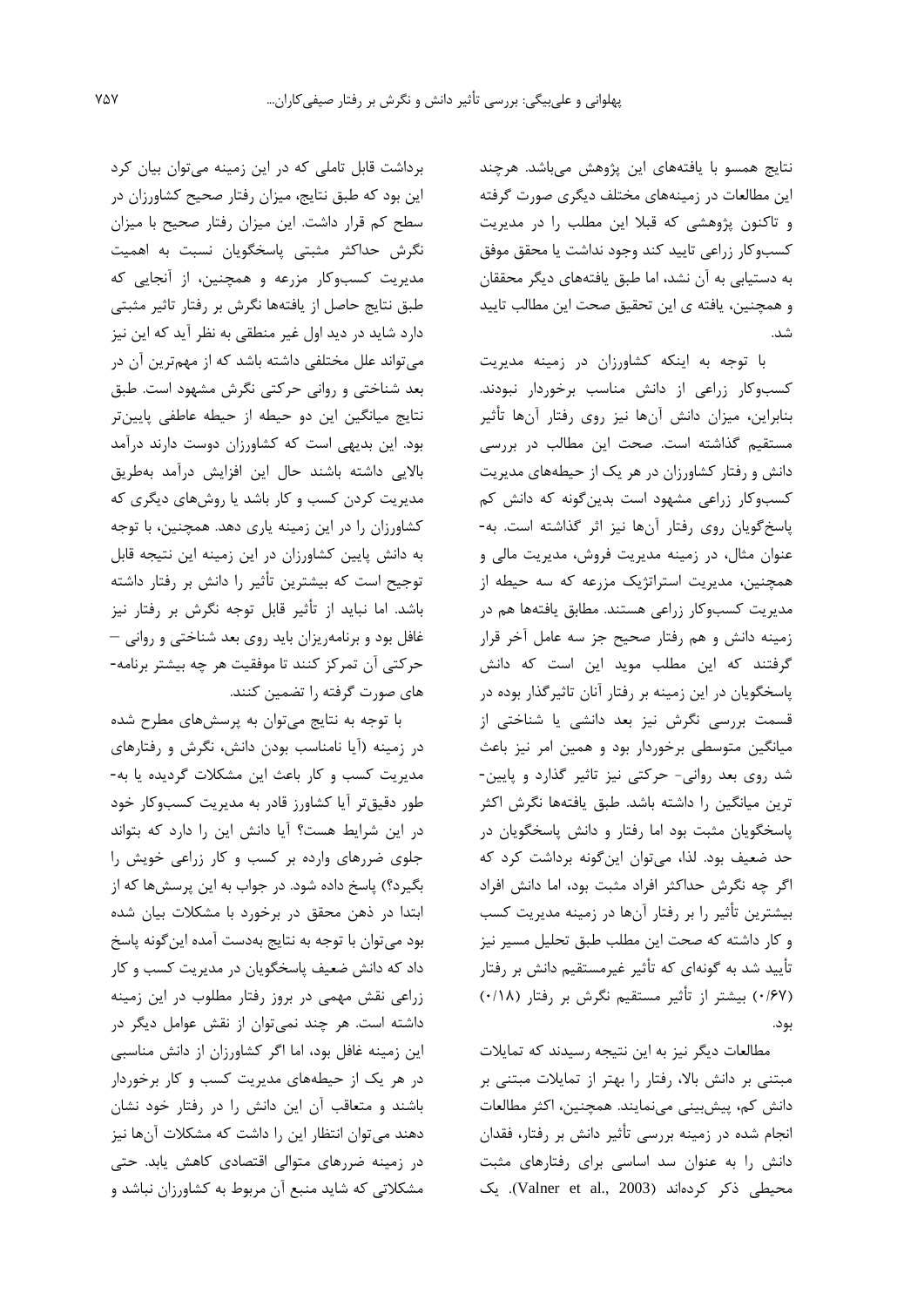نتايج همسو با يافتههاي اين پژوهش میباشد. هرچند اين مطالعات در زمینههاي مختلف ديگري صورت گرفته و تاکنون پژوهشی که قبال اين مطلب را در مديريت کسبوکار زراعی تايید کند وجود نداشت يا محقق موفق به دستیابی به آن نشد، اما طبق يافتههاي ديگر محققان و همچنین، يافته ي اين تحقیق صحت اين مطالب تايید شد.

با توجه به اينکه کشاورزان در زمینه مديريت کسبوکار زراعی از دانش مناسب برخوردار نبودند. بنابراين، میزان دانش آنها نیز روي رفتار آنها تأثیر مستقیم گذاشته است. صحت اين مطالب در بررسی دانش و رفتار کشاورزان در هر يک از حیطههاي مديريت کسبوکار زراعی مشهود است بدينگونه که دانش کم پاسخگويان روي رفتار آنها نیز اثر گذاشته است. به- عنوان مثال، در زمینه مديريت فروش، مديريت مالی و همچنین، مديريت استراتژيک مزرعه که سه حیطه از مديريت کسبوکار زراعی هستند. مطابق يافتهها هم در زمینه دانش و هم رفتار صحیح جز سه عامل آخر قرار گرفتند که اين مطلب مويد اين است که دانش پاسخگويان در اين زمینه بر رفتار آنان تاثیرگذار بوده در قسمت بررسی نگرش نیز بعد دانشی يا شناختی از میانگین متوسطی برخوردار بود و همین امر نیز باعث شد روي بعد روانی- حرکتی نیز تاثیر گذارد و پايین- ترين میانگین را داشته باشد. طبق يافتهها نگرش اکثر پاسخگويان مثبت بود اما رفتار و دانش پاسخگويان در حد ضعیف بود. لذا، میتوان اينگونه برداشت کرد که اگر چه نگرش حداکثر افراد مثبت بود، اما دانش افراد بیشترين تأثیر را بر رفتار آنها در زمینه مديريت کسب و کار داشته که صحت اين مطلب طبق تحلیل مسیر نیز تأيید شد به گونهاي که تأثیر غیرمستقیم دانش بر رفتار )0/67( بیشتر از تأثیر مستقیم نگرش بر رفتار )0/18( بود.

مطالعات ديگر نیز به اين نتیجه رسیدند که تمايالت مبتنی بر دانش باال، رفتار را بهتر از تمايالت مبتنی بر دانش کم، پیشبینی مینمايند. همچنین، اکثر مطالعات انجام شده در زمینه بررسی تأثیر دانش بر رفتار، فقدان دانش را به عنوان سد اساسی براي رفتارهاي مثبت محیطی ذکر کردهاند (Valner et al., 2003). يک

برداشت قابل تاملی که در اين زمینه میتوان بیان کرد اين بود که طبق نتايج، میزان رفتار صحیح کشاورزان در سطح کم قرار داشت. اين میزان رفتار صحیح با میزان نگرش حداکثر مثبتی پاسخگويان نسبت به اهمیت مديريت کسبوکار مزرعه و همچنین، از آنجايی که طبق نتايج حاصل از يافتهها نگرش بر رفتار تاثیر مثبتی دارد شايد در ديد اول غیر منطقی به نظر آيد که اين نیز میتواند علل مختلفی داشته باشد که از مهمترين آن در بعد شناختی و روانی حرکتی نگرش مشهود است. طبق نتايج میانگین اين دو حیطه از حیطه عاطفی پايینتر بود. اين بديهی است که کشاورزان دوست دارند درآمد بااليی داشته باشند حال اين افزايش درآمد بهطريق مديريت کردن کسب و کار باشد يا روشهاي ديگري که کشاورزان را در اين زمینه ياري دهد. همچنین، با توجه به دانش پايین کشاورزان در اين زمینه اين نتیجه قابل توجیح است که بیشترين تأثیر را دانش بر رفتار داشته باشد. اما نبايد از تأثیر قابل توجه نگرش بر رفتار نیز غافل بود و برنامهريزان بايد روي بعد شناختی و روانی – حرکتی آن تمرکز کنند تا موفقیت هر چه بیشتر برنامه- هاي صورت گرفته را تضمین کنند.

با توجه به نتايج میتوان به پرسشهاي مطرح شده در زمینه )آيا نامناسب بودن دانش، نگرش و رفتارهاي مديريت کسب و کار باعث اين مشکالت گرديده يا به- طور دقیقتر آيا کشاورز قادر به مديريت کسبوکار خود در اين شرايط هست؟ آيا دانش اين را دارد که بتواند جلوي ضررهاي وارده بر کسب و کار زراعی خويش را بگیرد؟) پاسخ داده شود. در جواب به اين پرسشها که از ابتدا در ذهن محقق در برخورد با مشکالت بیان شده بود میتوان با توجه به نتايج بهدست آمده اينگونه پاسخ داد که دانش ضعیف پاسخگويان در مديريت کسب و کار زراعی نقش مهمی در بروز رفتار مطلوب در اين زمینه داشته است. هر چند نمیتوان از نقش عوامل ديگر در اين زمینه غافل بود، اما اگر کشاورزان از دانش مناسبی در هر يک از حیطههاي مديريت کسب و کار برخوردار باشند و متعاقب آن اين دانش را در رفتار خود نشان دهند میتوان انتظار اين را داشت که مشکالت آنها نیز در زمینه ضررهاي متوالی اقتصادي کاهش يابد. حتی مشکالتی که شايد منبع آن مربوط به کشاورزان نباشد و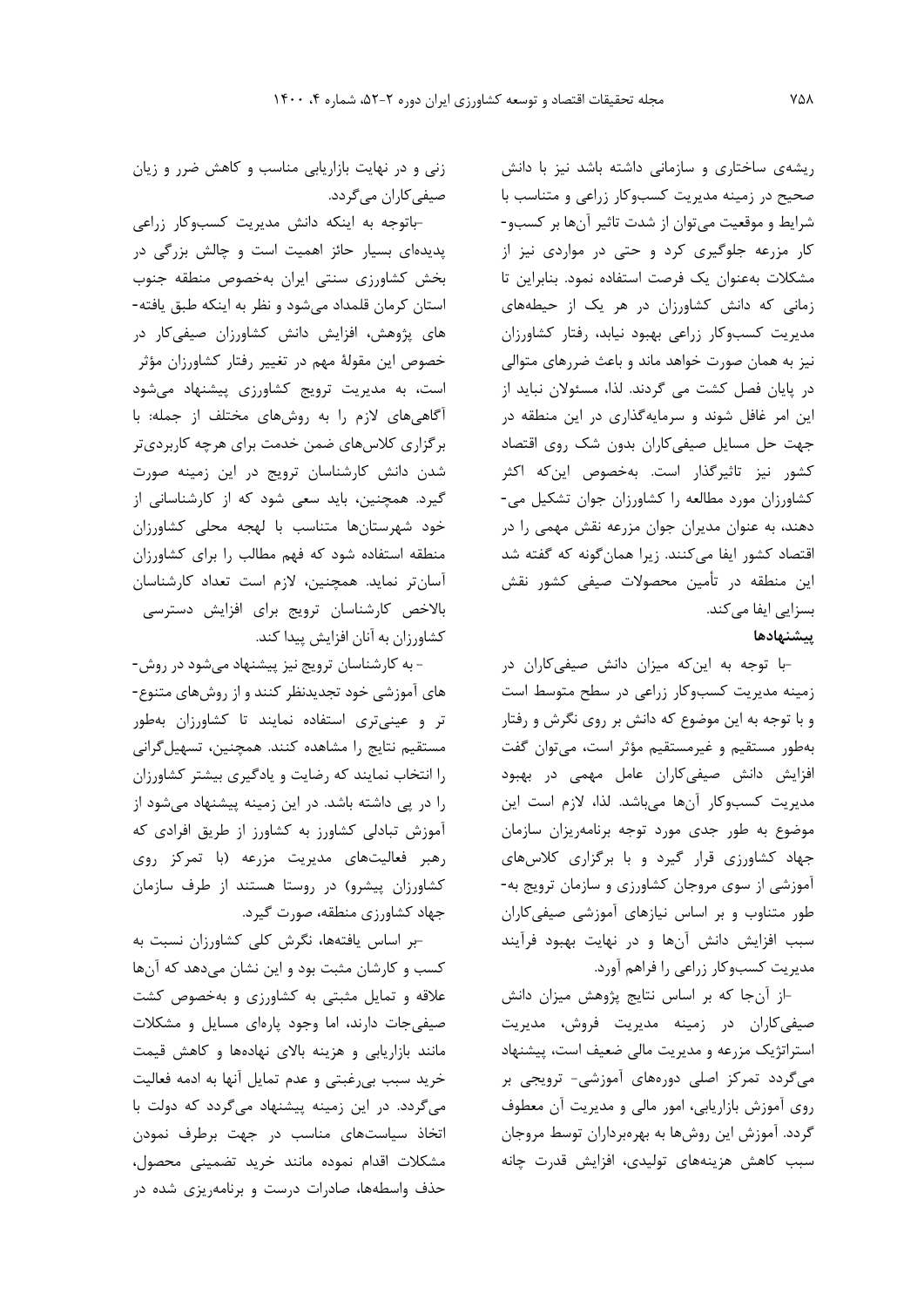ريشهي ساختاري و سازمانی داشته باشد نیز با دانش صحیح در زمینه مديريت کسبوکار زراعی و متناسب با شرايط و موقعیت میتوان از شدت تاثیر آنها بر کسبو- کار مزرعه جلوگیري کرد و حتی در مواردي نیز از مشکالت بهعنوان يک فرصت استفاده نمود. بنابراين تا زمانی که دانش کشاورزان در هر يک از حیطههاي مديريت کسبوکار زراعی بهبود نیابد، رفتار کشاورزان نیز به همان صورت خواهد ماند و باعث ضررهاي متوالی در پايان فصل کشت می گردند. لذا، مسئوالن نبايد از اين امر غافل شوند و سرمايهگذاري در اين منطقه در جهت حل مسايل صیفیکاران بدون شک روي اقتصاد کشور نیز تاثیرگذار است. بهخصوص اينکه اکثر کشاورزان مورد مطالعه را کشاورزان جوان تشکیل می- دهند، به عنوان مديران جوان مزرعه نقش مهمی را در اقتصاد کشور ايفا میکنند. زيرا همانگونه که گفته شد اين منطقه در تأمین محصوالت صیفی کشور نقش بسزايی ايفا میکند.

## **پيشنهادها**

-با توجه به اينکه میزان دانش صیفیکاران در زمینه مديريت کسبوکار زراعی در سطح متوسط است و با توجه به اين موضوع که دانش بر روي نگرش و رفتار بهطور مستقیم و غیرمستقیم مؤثر است، میتوان گفت افزايش دانش صیفیکاران عامل مهمی در بهبود مديريت کسبوکار آنها میباشد. لذا، الزم است اين موضوع به طور جدي مورد توجه برنامهريزان سازمان جهاد کشاورزي قرار گیرد و با برگزاري کالسهاي آموزشی از سوي مروجان کشاورزي و سازمان ترويج به- طور متناوب و بر اساس نیازهاي آموزشی صیفیکاران سبب افزايش دانش آنها و در نهايت بهبود فرآيند مديريت کسبوکار زراعی را فراهم آورد.

-از آنجا که بر اساس نتايج پژوهش میزان دانش صیفیکاران در زمینه مديريت فروش، مديريت استراتژيک مزرعه و مديريت مالی ضعیف است، پیشنهاد میگردد تمرکز اصلی دورههاي آموزشی- ترويجی بر روي آموزش بازاريابی، امور مالی و مديريت آن معطوف گردد. آموزش اين روشها به بهرهبرداران توسط مروجان سبب کاهش هزينههاي تولیدي، افزايش قدرت چانه

زنی و در نهايت بازاريابی مناسب و کاهش ضرر و زيان صیفی کاران میگردد.

پديدهاي بسیار حائز اهمیت است <sup>و</sup> چالش بزرگی در-باتوجه به اينکه دانش مديريت کسبوکار زراعی بخش کشاورزي سنتی ايران بهخصوص منطقه جنوب استان کرمان قلمداد میشود و نظر به اينکه طبق يافته- هاي پژوهش، افزايش دانش کشاورزان صیفیکار در خصوص اين مقولة مهم در تغییر رفتار کشاورزان مؤثر است، به مديريت ترويج کشاورزي پیشنهاد میشود آگاهیهاي الزم را به روشهاي مختلف از جمله: با برگزاري کالسهاي ضمن خدمت براي هرچه کاربرديتر شدن دانش کارشناسان ترويج در اين زمینه صورت گیرد. همچنین، بايد سعی شود که از کارشناسانی از خود شهرستانها متناسب با لهجه محلی کشاورزان منطقه استفاده شود که فهم مطالب را براي کشاورزان آسانتر نمايد. همچنین، الزم است تعداد کارشناسان باالخص کارشناسان ترويج براي افزايش دسترسی کشاورزان به آنان افزايش پیدا کند.

- به کارشناسان ترويج نیز پیشنهاد میشود در روش- هاي آموزشی خود تجديدنظر کنند و از روشهاي متنوع- تر و عینیتري استفاده نمايند تا کشاورزان بهطور مستقیم نتايج را مشاهده کنند. همچنین، تسهیلگرانی را انتخاب نمايند که رضايت و يادگیري بیشتر کشاورزان را در پی داشته باشد. در اين زمینه پیشنهاد میشود از آموزش تبادلی کشاورز به کشاورز از طريق افرادي که رهبر فعالیتهاي مديريت مزرعه )با تمرکز روي کشاورزان پیشرو( در روستا هستند از طرف سازمان جهاد کشاورزي منطقه، صورت گیرد.

-بر اساس يافتهها، نگرش کلی کشاورزان نسبت به کسب و کارشان مثبت بود و اين نشان میدهد که آنها عالقه و تمايل مثبتی به کشاورزي و بهخصوص کشت صیفیجات دارند، اما وجود پارهاي مسايل و مشکالت مانند بازاريابی و هزينه باالي نهادهها و کاهش قیمت خريد سبب بیرغبتی و عدم تمايل آنها به ادمه فعالیت میگردد. در اين زمینه پیشنهاد میگردد که دولت با اتخاذ سیاستهاي مناسب در جهت برطرف نمودن مشکالت اقدام نموده مانند خريد تضمینی محصول، حذف واسطهها، صادرات درست و برنامهريزي شده در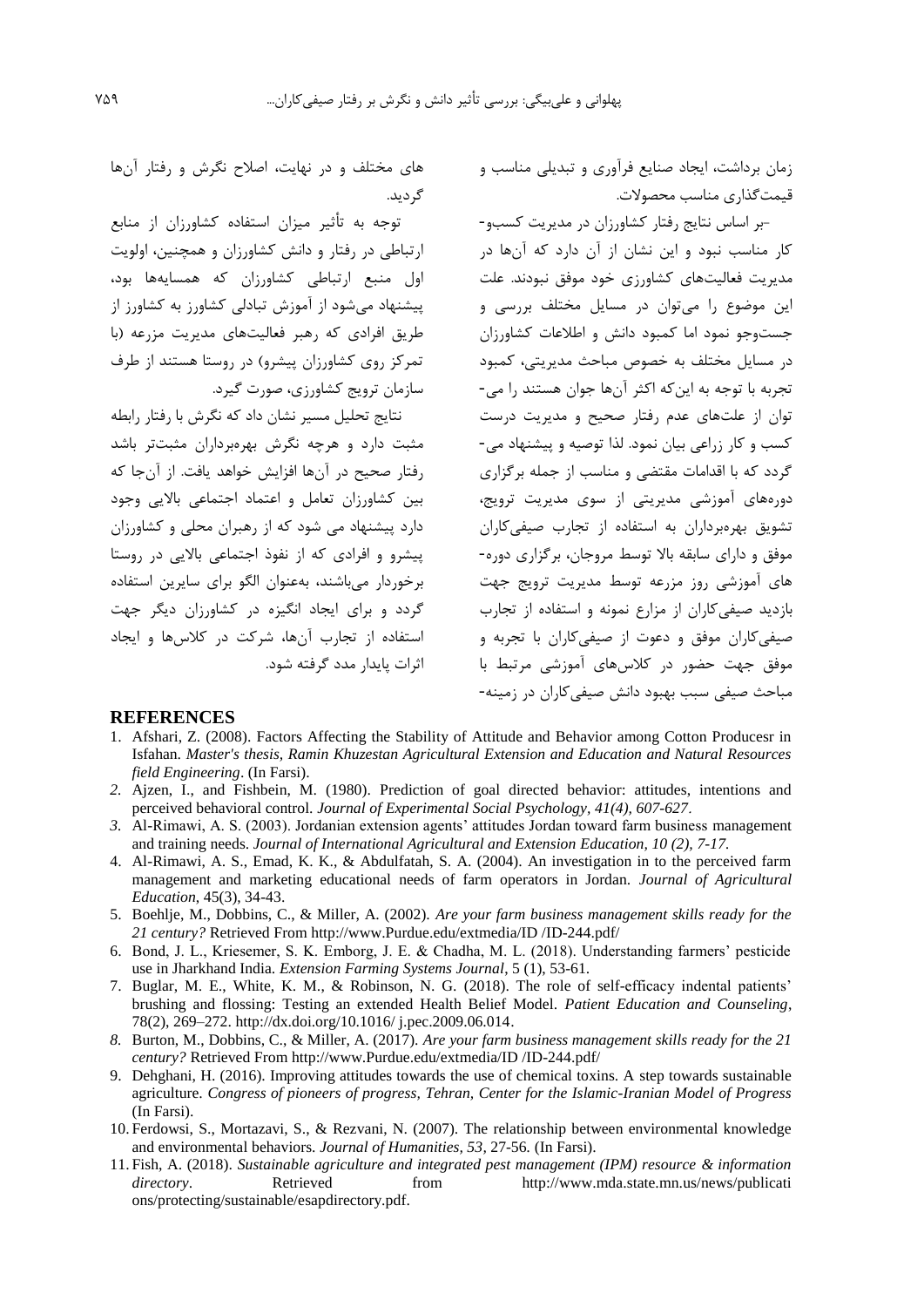زمان برداشت، ايجاد صنايع فرآوري و تبديلی مناسب و قیمتگذاري مناسب محصوالت.

-بر اساس نتايج رفتار کشاورزان در مديريت کسبو- کار مناسب نبود و اين نشان از آن دارد که آنها در مديريت فعالیتهاي کشاورزي خود موفق نبودند. علت اين موضوع را میتوان در مسايل مختلف بررسی و جستوجو نمود اما کمبود دانش و اطالعات کشاورزان در مسايل مختلف به خصوص مباحث مديريتی، کمبود تجربه با توجه به اينکه اکثر آنها جوان هستند را می- توان از علتهاي عدم رفتار صحیح و مديريت درست کسب و کار زراعی بیان نمود. لذا توصیه و پیشنهاد می- گردد که با اقدامات مقتضی و مناسب از جمله برگزاري دورههاي آموزشی مديريتی از سوي مديريت ترويج، تشويق بهرهبرداران به استفاده از تجارب صیفیکاران موفق و داراي سابقه باال توسط مروجان، برگزاري دوره- هاي آموزشی روز مزرعه توسط مديريت ترويج جهت بازديد صیفیکاران از مزارع نمونه و استفاده از تجارب صیفیکاران موفق و دعوت از صیفیکاران با تجربه و موفق جهت حضور در کالسهاي آموزشی مرتبط با مباحث صیفی سبب بهبود دانش صیفیکاران در زمینه-

هاي مختلف و در نهايت، اصالح نگرش و رفتار آنها گرديد.

توجه به تأثیر میزان استفاده کشاورزان از منابع ارتباطی در رفتار و دانش کشاورزان و همچنین، اولويت اول منبع ارتباطی کشاورزان که همسايهها بود، پیشنهاد میشود از آموزش تبادلی کشاورز به کشاورز از طريق افرادي که رهبر فعالیتهاي مديريت مزرعه )با تمرکز روي کشاورزان پیشرو( در روستا هستند از طرف سازمان ترويج کشاورزي، صورت گیرد.

نتايج تحلیل مسیر نشان داد که نگرش با رفتار رابطه مثبت دارد و هرچه نگرش بهرهبرداران مثبتتر باشد رفتار صحیح در آنها افزايش خواهد يافت. از آنجا که بین کشاورزان تعامل و اعتماد اجتماعی بااليی وجود دارد پیشنهاد می شود که از رهبران محلی و کشاورزان پیشرو و افرادي که از نفوذ اجتماعی بااليی در روستا برخوردار میباشند، بهعنوان الگو براي سايرين استفاده گردد و براي ايجاد انگیزه در کشاورزان ديگر جهت استفاده از تجارب آنها، شرکت در کالسها و ايجاد اثرات پايدار مدد گرفته شود.

#### **REFERENCES**

- 1. Afshari, Z. (2008). Factors Affecting the Stability of Attitude and Behavior among Cotton Producesr in Isfahan. *Master's thesis, Ramin Khuzestan Agricultural Extension and Education and Natural Resources field Engineering*. (In Farsi).
- *2.* Ajzen, I., and Fishbein, M. (1980). Prediction of goal directed behavior: attitudes, intentions and perceived behavioral control. *Journal of Experimental Social Psychology, 41(4), 607-627*.
- *3.* Al-Rimawi, A. S. (2003). Jordanian extension agents' attitudes Jordan toward farm business management and training needs. *Journal of International Agricultural and Extension Education, 10 (2), 7-17.*
- 4. Al-Rimawi, A. S., Emad, K. K., & Abdulfatah, S. A. (2004). An investigation in to the perceived farm management and marketing educational needs of farm operators in Jordan. *Journal of Agricultural Education*, 45(3), 34-43.
- 5. Boehlje, M., Dobbins, C., & Miller, A. (2002). *Are your farm business management skills ready for the 21 century?* Retrieved From http://www.Purdue.edu/extmedia/ID /ID-244.pdf/
- 6. Bond, J. L., Kriesemer, S. K. Emborg, J. E. & Chadha, M. L. (2018). Understanding farmers' pesticide use in Jharkhand India. *Extension Farming Systems Journal*, 5 (1), 53-61.
- 7. Buglar, M. E., White, K. M., & Robinson, N. G. (2018). The role of self-efficacy indental patients' brushing and flossing: Testing an extended Health Belief Model. *Patient Education and Counseling*, 78(2), 269–272. http://dx.doi.org/10.1016/ j.pec.2009.06.014.
- *8.* Burton, M., Dobbins, C., & Miller, A. (2017). *Are your farm business management skills ready for the 21 century?* Retrieved From http://www.Purdue.edu/extmedia/ID /ID-244.pdf/
- 9. Dehghani, H. (2016). Improving attitudes towards the use of chemical toxins. A step towards sustainable agriculture. *Congress of pioneers of progress, Tehran, Center for the Islamic-Iranian Model of Progress*  (In Farsi).
- 10. Ferdowsi, S., Mortazavi, S., & Rezvani, N. (2007). The relationship between environmental knowledge and environmental behaviors. *Journal of Humanities, 53,* 27-56*.* (In Farsi).
- 11. Fish, A. (2018). *Sustainable agriculture and integrated pest management (IPM) resource & information directory*. Retrieved from http://www.mda.state.mn.us/news/publicati ons/protecting/sustainable/esapdirectory.pdf.